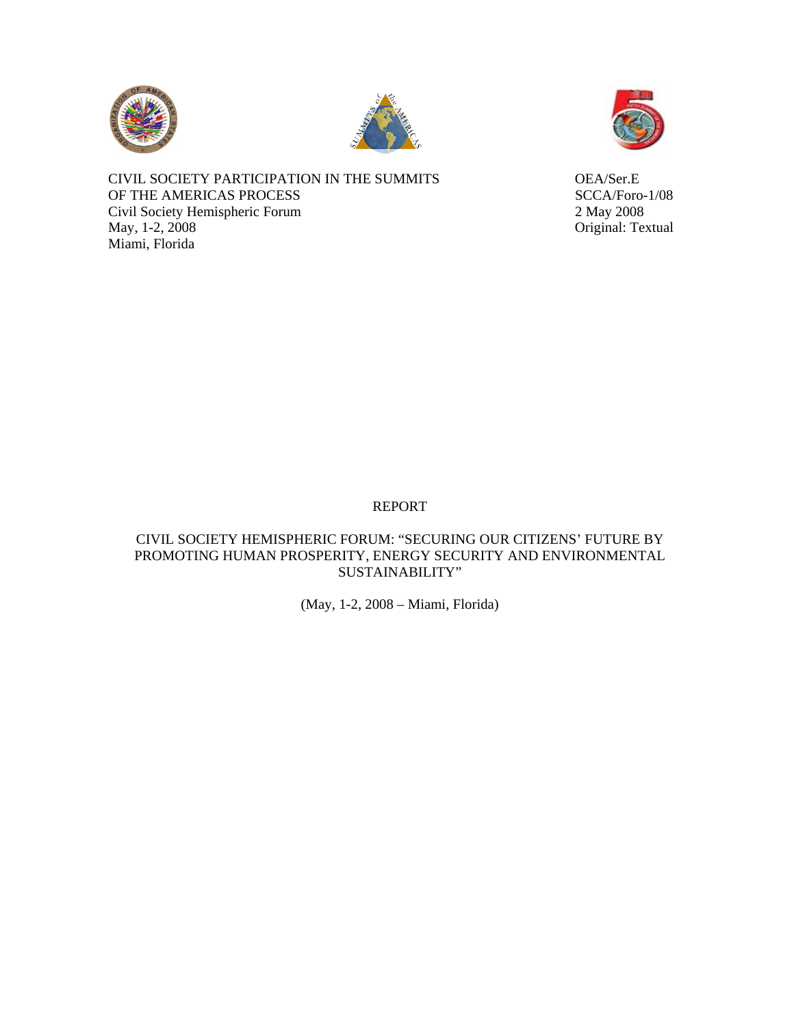





CIVIL SOCIETY PARTICIPATION IN THE SUMMITS OEA/Ser.E OF THE AMERICAS PROCESS SCCA/Foro-1/08 Civil Society Hemispheric Forum 2 May 2008 May, 1-2, 2008 Original: Textual Miami, Florida

# REPORT

# CIVIL SOCIETY HEMISPHERIC FORUM: "SECURING OUR CITIZENS' FUTURE BY PROMOTING HUMAN PROSPERITY, ENERGY SECURITY AND ENVIRONMENTAL SUSTAINABILITY"

(May, 1-2, 2008 – Miami, Florida)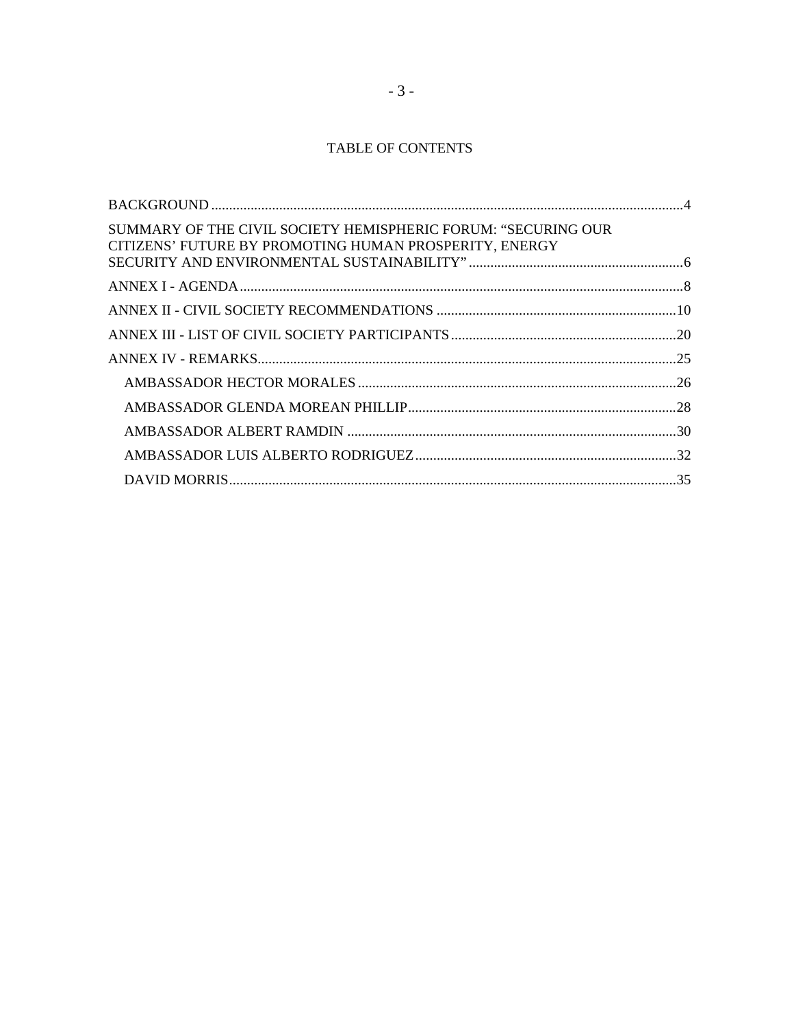# TABLE OF CONTENTS

| SUMMARY OF THE CIVIL SOCIETY HEMISPHERIC FORUM: "SECURING OUR<br>CITIZENS' FUTURE BY PROMOTING HUMAN PROSPERITY, ENERGY |  |
|-------------------------------------------------------------------------------------------------------------------------|--|
|                                                                                                                         |  |
|                                                                                                                         |  |
|                                                                                                                         |  |
|                                                                                                                         |  |
|                                                                                                                         |  |
|                                                                                                                         |  |
|                                                                                                                         |  |
|                                                                                                                         |  |
|                                                                                                                         |  |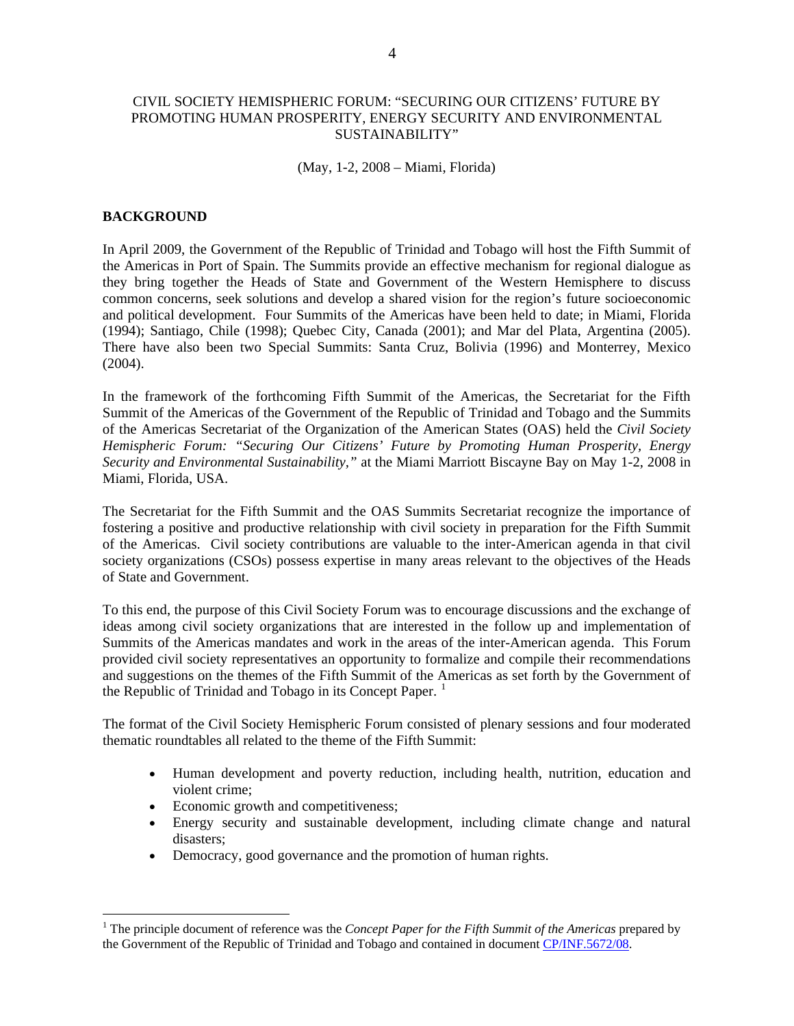### <span id="page-2-0"></span>CIVIL SOCIETY HEMISPHERIC FORUM: "SECURING OUR CITIZENS' FUTURE BY PROMOTING HUMAN PROSPERITY, ENERGY SECURITY AND ENVIRONMENTAL SUSTAINABILITY"

(May, 1-2, 2008 – Miami, Florida)

### **BACKGROUND**

 $\overline{a}$ 

In April 2009, the Government of the Republic of Trinidad and Tobago will host the Fifth Summit of the Americas in Port of Spain. The Summits provide an effective mechanism for regional dialogue as they bring together the Heads of State and Government of the Western Hemisphere to discuss common concerns, seek solutions and develop a shared vision for the region's future socioeconomic and political development. Four Summits of the Americas have been held to date; in Miami, Florida (1994); Santiago, Chile (1998); Quebec City, Canada (2001); and Mar del Plata, Argentina (2005). There have also been two Special Summits: Santa Cruz, Bolivia (1996) and Monterrey, Mexico (2004).

In the framework of the forthcoming Fifth Summit of the Americas, the Secretariat for the Fifth Summit of the Americas of the Government of the Republic of Trinidad and Tobago and the Summits of the Americas Secretariat of the Organization of the American States (OAS) held the *Civil Society Hemispheric Forum: "Securing Our Citizens' Future by Promoting Human Prosperity, Energy Security and Environmental Sustainability,"* at the Miami Marriott Biscayne Bay on May 1-2, 2008 in Miami, Florida, USA.

The Secretariat for the Fifth Summit and the OAS Summits Secretariat recognize the importance of fostering a positive and productive relationship with civil society in preparation for the Fifth Summit of the Americas. Civil society contributions are valuable to the inter-American agenda in that civil society organizations (CSOs) possess expertise in many areas relevant to the objectives of the Heads of State and Government.

To this end, the purpose of this Civil Society Forum was to encourage discussions and the exchange of ideas among civil society organizations that are interested in the follow up and implementation of Summits of the Americas mandates and work in the areas of the inter-American agenda. This Forum provided civil society representatives an opportunity to formalize and compile their recommendations and suggestions on the themes of the Fifth Summit of the Americas as set forth by the Government of the Republic of Trinidad and Tobago in its Concept Paper.<sup>[1](#page-2-1)</sup>

The format of the Civil Society Hemispheric Forum consisted of plenary sessions and four moderated thematic roundtables all related to the theme of the Fifth Summit:

- Human development and poverty reduction, including health, nutrition, education and violent crime;
- Economic growth and competitiveness;
- Energy security and sustainable development, including climate change and natural disasters;
- Democracy, good governance and the promotion of human rights.

<span id="page-2-1"></span><sup>&</sup>lt;sup>1</sup> The principle document of reference was the *Concept Paper for the Fifth Summit of the Americas* prepared by the Government of the Republic of Trinidad and Tobago and contained in document [CP/INF.5672/08](http://www.summit-americas.org/V_Summit/CP19993E04.doc).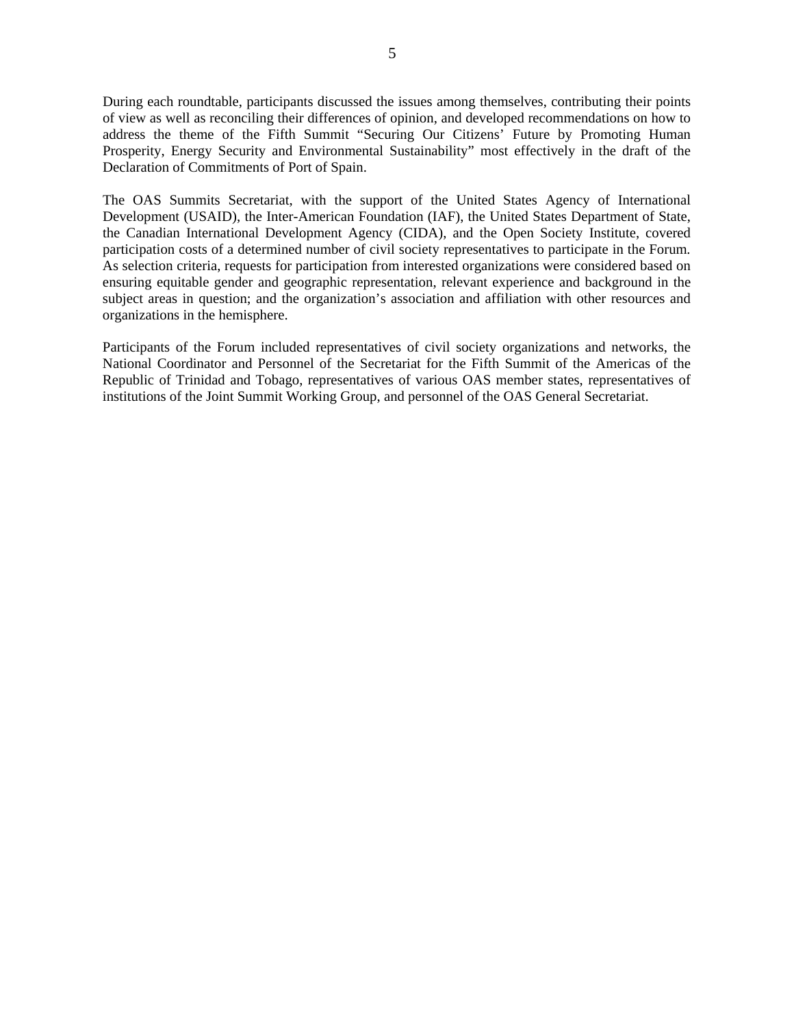During each roundtable, participants discussed the issues among themselves, contributing their points of view as well as reconciling their differences of opinion, and developed recommendations on how to address the theme of the Fifth Summit "Securing Our Citizens' Future by Promoting Human Prosperity, Energy Security and Environmental Sustainability" most effectively in the draft of the Declaration of Commitments of Port of Spain.

The OAS Summits Secretariat, with the support of the United States Agency of International Development (USAID), the Inter-American Foundation (IAF), the United States Department of State, the Canadian International Development Agency (CIDA), and the Open Society Institute, covered participation costs of a determined number of civil society representatives to participate in the Forum*.*  As selection criteria, requests for participation from interested organizations were considered based on ensuring equitable gender and geographic representation, relevant experience and background in the subject areas in question; and the organization's association and affiliation with other resources and organizations in the hemisphere.

Participants of the Forum included representatives of civil society organizations and networks, the National Coordinator and Personnel of the Secretariat for the Fifth Summit of the Americas of the Republic of Trinidad and Tobago, representatives of various OAS member states, representatives of institutions of the Joint Summit Working Group, and personnel of the OAS General Secretariat.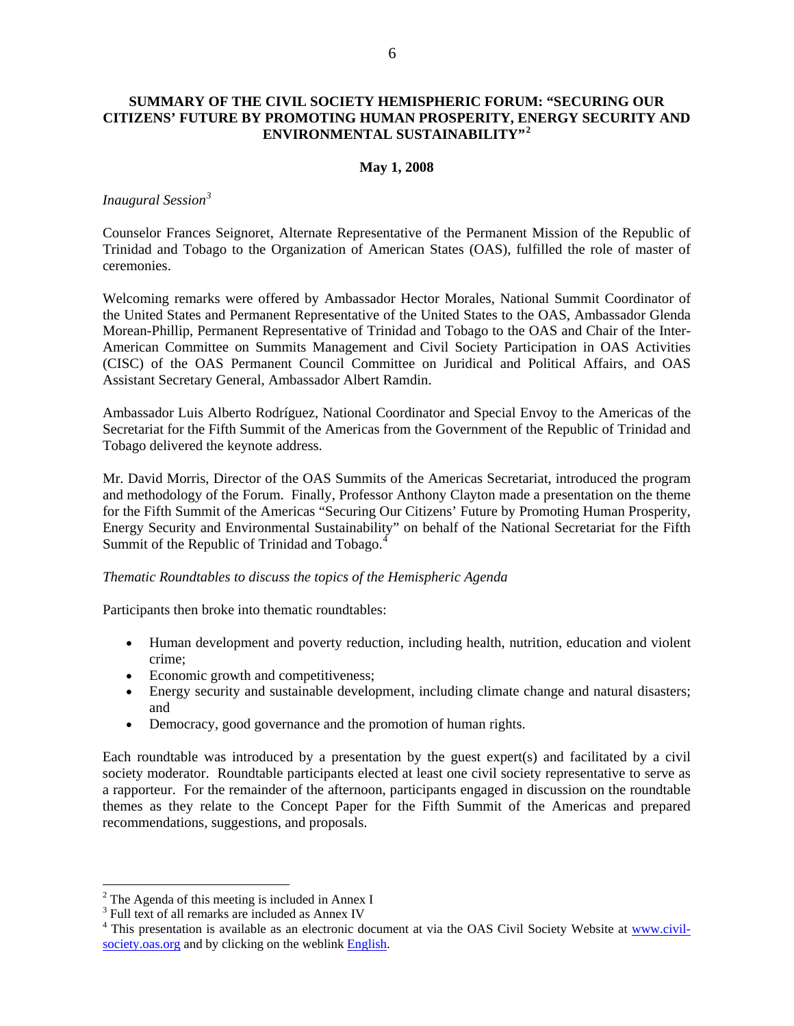# <span id="page-4-0"></span>**SUMMARY OF THE CIVIL SOCIETY HEMISPHERIC FORUM: "SECURING OUR CITIZENS' FUTURE BY PROMOTING HUMAN PROSPERITY, ENERGY SECURITY AND ENVIRONMENTAL SUSTAINABILITY"[2](#page-4-1)**

### **May 1, 2008**

### *Inaugural Session[3](#page-4-2)*

Counselor Frances Seignoret, Alternate Representative of the Permanent Mission of the Republic of Trinidad and Tobago to the Organization of American States (OAS), fulfilled the role of master of ceremonies.

Welcoming remarks were offered by Ambassador Hector Morales, National Summit Coordinator of the United States and Permanent Representative of the United States to the OAS, Ambassador Glenda Morean-Phillip, Permanent Representative of Trinidad and Tobago to the OAS and Chair of the Inter-American Committee on Summits Management and Civil Society Participation in OAS Activities (CISC) of the OAS Permanent Council Committee on Juridical and Political Affairs, and OAS Assistant Secretary General, Ambassador Albert Ramdin.

Ambassador Luis Alberto Rodríguez, National Coordinator and Special Envoy to the Americas of the Secretariat for the Fifth Summit of the Americas from the Government of the Republic of Trinidad and Tobago delivered the keynote address.

Mr. David Morris, Director of the OAS Summits of the Americas Secretariat, introduced the program and methodology of the Forum. Finally, Professor Anthony Clayton made a presentation on the theme for the Fifth Summit of the Americas "Securing Our Citizens' Future by Promoting Human Prosperity, Energy Security and Environmental Sustainability" on behalf of the National Secretariat for the Fifth Summit of the Republic of Trinidad and Tobago.<sup>[4](#page-4-3)</sup>

### *Thematic Roundtables to discuss the topics of the Hemispheric Agenda*

Participants then broke into thematic roundtables:

- Human development and poverty reduction, including health, nutrition, education and violent crime;
- Economic growth and competitiveness;
- Energy security and sustainable development, including climate change and natural disasters; and
- Democracy, good governance and the promotion of human rights.

Each roundtable was introduced by a presentation by the guest expert(s) and facilitated by a civil society moderator. Roundtable participants elected at least one civil society representative to serve as a rapporteur. For the remainder of the afternoon, participants engaged in discussion on the roundtable themes as they relate to the Concept Paper for the Fifth Summit of the Americas and prepared recommendations, suggestions, and proposals.

 $\overline{a}$ 

<span id="page-4-1"></span> $2^2$  The Agenda of this meeting is included in Annex I

<span id="page-4-2"></span><sup>&</sup>lt;sup>3</sup> Full text of all remarks are included as Annex IV

<span id="page-4-3"></span><sup>&</sup>lt;sup>4</sup> This presentation is available as an electronic document at via the OAS Civil Society Website at [www.civil](http://www.civil-society.oas.org/)[society.oas.org](http://www.civil-society.oas.org/) and by clicking on the weblink [English](http://www.civil-society.oas.org/English/Hem_Forum/Clayton_Hem_Forum.pdf).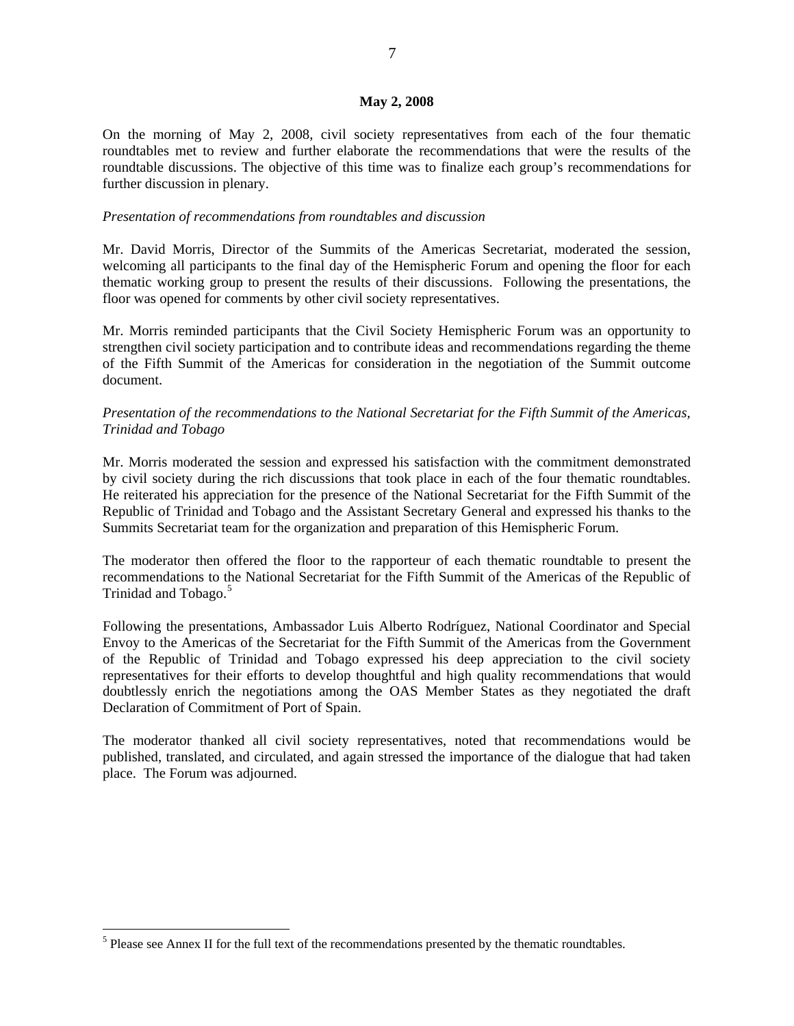#### **May 2, 2008**

On the morning of May 2, 2008, civil society representatives from each of the four thematic roundtables met to review and further elaborate the recommendations that were the results of the roundtable discussions. The objective of this time was to finalize each group's recommendations for further discussion in plenary.

### *Presentation of recommendations from roundtables and discussion*

Mr. David Morris, Director of the Summits of the Americas Secretariat, moderated the session, welcoming all participants to the final day of the Hemispheric Forum and opening the floor for each thematic working group to present the results of their discussions. Following the presentations, the floor was opened for comments by other civil society representatives.

Mr. Morris reminded participants that the Civil Society Hemispheric Forum was an opportunity to strengthen civil society participation and to contribute ideas and recommendations regarding the theme of the Fifth Summit of the Americas for consideration in the negotiation of the Summit outcome document.

# *Presentation of the recommendations to the National Secretariat for the Fifth Summit of the Americas, Trinidad and Tobago*

Mr. Morris moderated the session and expressed his satisfaction with the commitment demonstrated by civil society during the rich discussions that took place in each of the four thematic roundtables. He reiterated his appreciation for the presence of the National Secretariat for the Fifth Summit of the Republic of Trinidad and Tobago and the Assistant Secretary General and expressed his thanks to the Summits Secretariat team for the organization and preparation of this Hemispheric Forum.

The moderator then offered the floor to the rapporteur of each thematic roundtable to present the recommendations to the National Secretariat for the Fifth Summit of the Americas of the Republic of Trinidad and Tobago.<sup>[5](#page-5-0)</sup>

Following the presentations, Ambassador Luis Alberto Rodríguez, National Coordinator and Special Envoy to the Americas of the Secretariat for the Fifth Summit of the Americas from the Government of the Republic of Trinidad and Tobago expressed his deep appreciation to the civil society representatives for their efforts to develop thoughtful and high quality recommendations that would doubtlessly enrich the negotiations among the OAS Member States as they negotiated the draft Declaration of Commitment of Port of Spain.

The moderator thanked all civil society representatives, noted that recommendations would be published, translated, and circulated, and again stressed the importance of the dialogue that had taken place. The Forum was adjourned.

 $\overline{a}$ 

<span id="page-5-0"></span> $<sup>5</sup>$  Please see Annex II for the full text of the recommendations presented by the thematic roundtables.</sup>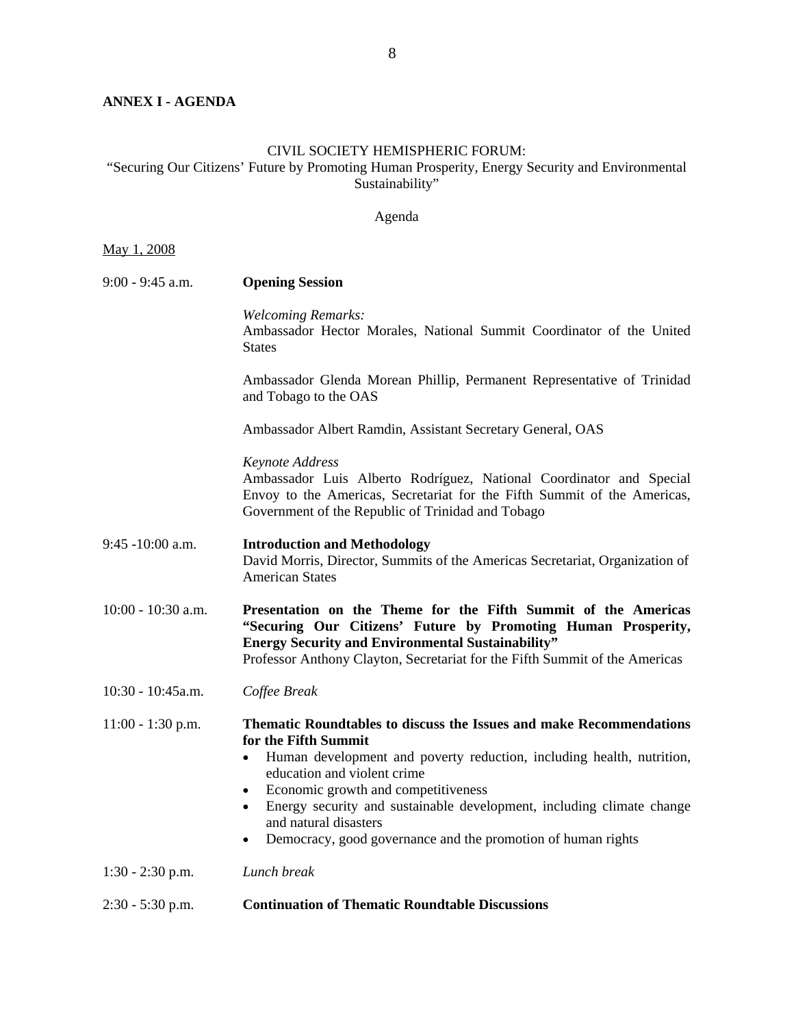# <span id="page-6-0"></span>**ANNEX I - AGENDA**

# CIVIL SOCIETY HEMISPHERIC FORUM:

"Securing Our Citizens' Future by Promoting Human Prosperity, Energy Security and Environmental Sustainability"

# Agenda

| 1.2008<br>May |  |  |
|---------------|--|--|
|---------------|--|--|

| $9:00 - 9:45$ a.m.   | <b>Opening Session</b>                                                                                                                                                                                                                                                                                                                                                                                                                              |
|----------------------|-----------------------------------------------------------------------------------------------------------------------------------------------------------------------------------------------------------------------------------------------------------------------------------------------------------------------------------------------------------------------------------------------------------------------------------------------------|
|                      | <b>Welcoming Remarks:</b><br>Ambassador Hector Morales, National Summit Coordinator of the United<br><b>States</b>                                                                                                                                                                                                                                                                                                                                  |
|                      | Ambassador Glenda Morean Phillip, Permanent Representative of Trinidad<br>and Tobago to the OAS                                                                                                                                                                                                                                                                                                                                                     |
|                      | Ambassador Albert Ramdin, Assistant Secretary General, OAS                                                                                                                                                                                                                                                                                                                                                                                          |
|                      | Keynote Address<br>Ambassador Luis Alberto Rodríguez, National Coordinator and Special<br>Envoy to the Americas, Secretariat for the Fifth Summit of the Americas,<br>Government of the Republic of Trinidad and Tobago                                                                                                                                                                                                                             |
| 9:45 -10:00 a.m.     | <b>Introduction and Methodology</b><br>David Morris, Director, Summits of the Americas Secretariat, Organization of<br><b>American States</b>                                                                                                                                                                                                                                                                                                       |
|                      |                                                                                                                                                                                                                                                                                                                                                                                                                                                     |
| $10:00 - 10:30$ a.m. | Presentation on the Theme for the Fifth Summit of the Americas<br>"Securing Our Citizens' Future by Promoting Human Prosperity,<br><b>Energy Security and Environmental Sustainability"</b><br>Professor Anthony Clayton, Secretariat for the Fifth Summit of the Americas                                                                                                                                                                          |
| 10:30 - 10:45a.m.    | Coffee Break                                                                                                                                                                                                                                                                                                                                                                                                                                        |
| 11:00 - 1:30 p.m.    | Thematic Roundtables to discuss the Issues and make Recommendations<br>for the Fifth Summit<br>Human development and poverty reduction, including health, nutrition,<br>$\bullet$<br>education and violent crime<br>Economic growth and competitiveness<br>$\bullet$<br>Energy security and sustainable development, including climate change<br>and natural disasters<br>Democracy, good governance and the promotion of human rights<br>$\bullet$ |
| $1:30 - 2:30$ p.m.   | Lunch break                                                                                                                                                                                                                                                                                                                                                                                                                                         |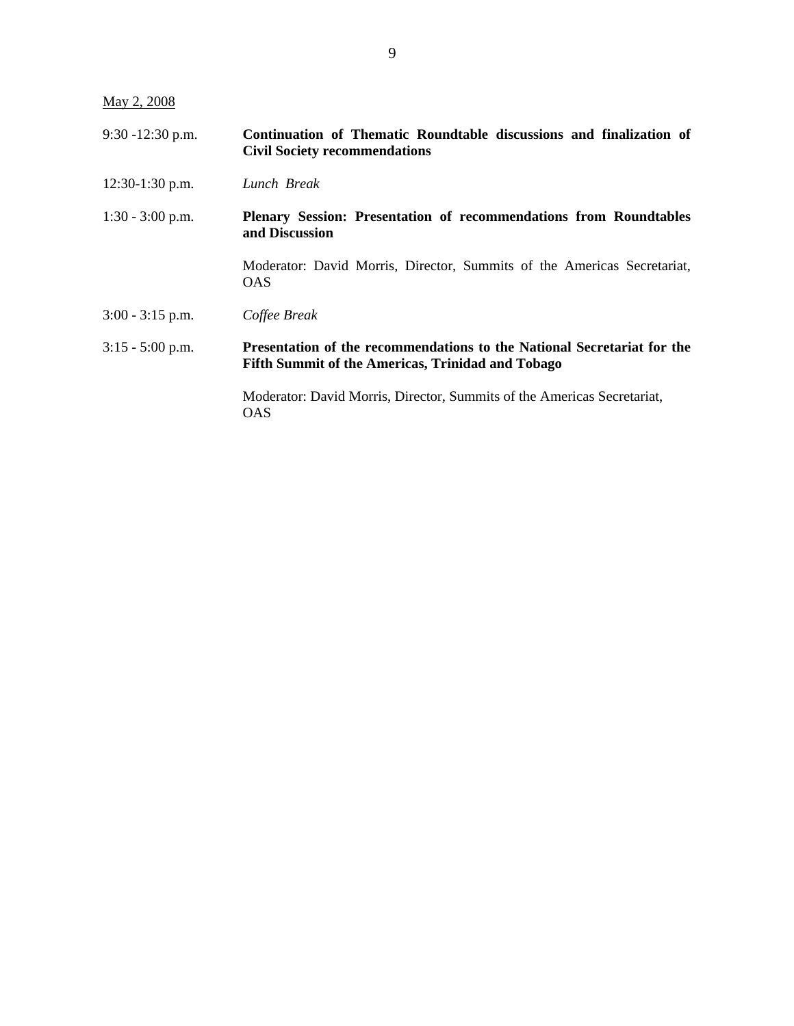May 2, 2008

| $9:30 - 12:30$ p.m.                  | Continuation of Thematic Roundtable discussions and finalization of |  |  |  |  |  |
|--------------------------------------|---------------------------------------------------------------------|--|--|--|--|--|
| <b>Civil Society recommendations</b> |                                                                     |  |  |  |  |  |

- 12:30-1:30 p.m. *Lunch Break*
- 1:30 3:00 p.m. **Plenary Session: Presentation of recommendations from Roundtables and Discussion**

Moderator: David Morris, Director, Summits of the Americas Secretariat, OAS

3:00 - 3:15 p.m.*Coffee Break*

# 3:15 - 5:00 p.m. **Presentation of the recommendations to the National Secretariat for the Fifth Summit of the Americas, Trinidad and Tobago**

Moderator: David Morris, Director, Summits of the Americas Secretariat, OAS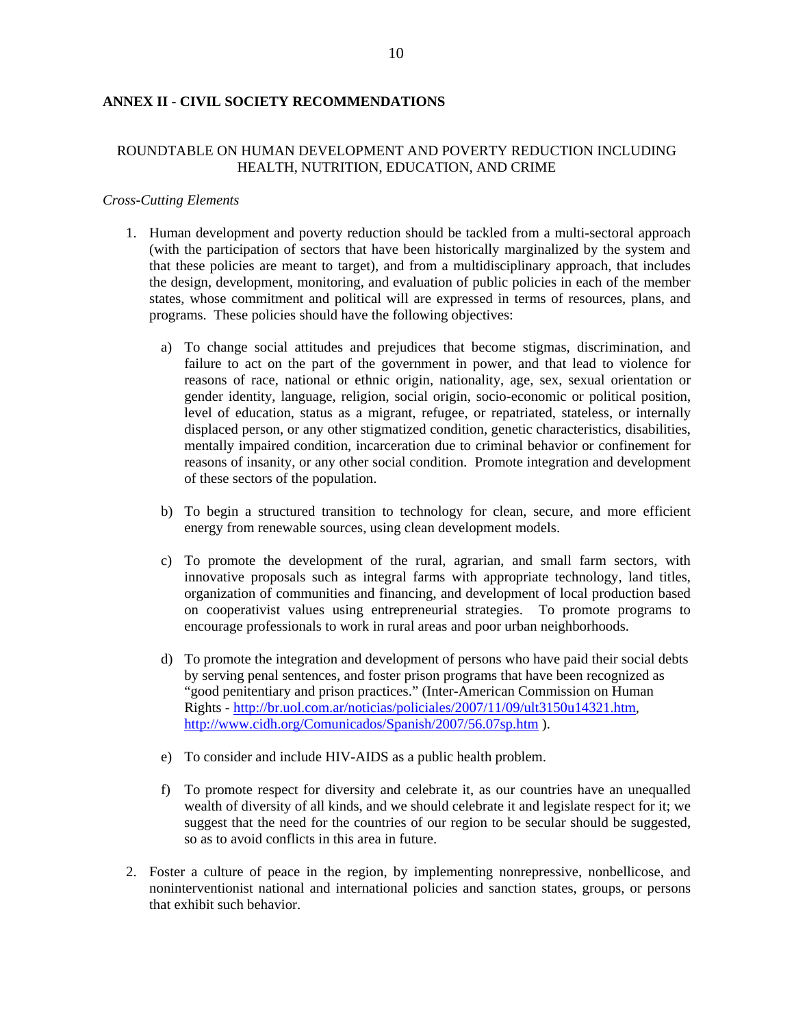# <span id="page-8-0"></span>**ANNEX II - CIVIL SOCIETY RECOMMENDATIONS**

# ROUNDTABLE ON HUMAN DEVELOPMENT AND POVERTY REDUCTION INCLUDING HEALTH, NUTRITION, EDUCATION, AND CRIME

### *Cross-Cutting Elements*

- 1. Human development and poverty reduction should be tackled from a multi-sectoral approach (with the participation of sectors that have been historically marginalized by the system and that these policies are meant to target), and from a multidisciplinary approach, that includes the design, development, monitoring, and evaluation of public policies in each of the member states, whose commitment and political will are expressed in terms of resources, plans, and programs. These policies should have the following objectives:
	- a) To change social attitudes and prejudices that become stigmas, discrimination, and failure to act on the part of the government in power, and that lead to violence for reasons of race, national or ethnic origin, nationality, age, sex, sexual orientation or gender identity, language, religion, social origin, socio-economic or political position, level of education, status as a migrant, refugee, or repatriated, stateless, or internally displaced person, or any other stigmatized condition, genetic characteristics, disabilities, mentally impaired condition, incarceration due to criminal behavior or confinement for reasons of insanity, or any other social condition. Promote integration and development of these sectors of the population.
	- b) To begin a structured transition to technology for clean, secure, and more efficient energy from renewable sources, using clean development models.
	- c) To promote the development of the rural, agrarian, and small farm sectors, with innovative proposals such as integral farms with appropriate technology, land titles, organization of communities and financing, and development of local production based on cooperativist values using entrepreneurial strategies. To promote programs to encourage professionals to work in rural areas and poor urban neighborhoods.
	- d) To promote the integration and development of persons who have paid their social debts by serving penal sentences, and foster prison programs that have been recognized as "good penitentiary and prison practices." (Inter-American Commission on Human Rights - [http://br.uol.com.ar/noticias/policiales/2007/11/09/ult3150u14321.htm,](http://br.uol.com.ar/noticias/policiales/2007/11/09/ult3150u14321.htm) <http://www.cidh.org/Comunicados/Spanish/2007/56.07sp.htm> ).
	- e) To consider and include HIV-AIDS as a public health problem.
	- f) To promote respect for diversity and celebrate it, as our countries have an unequalled wealth of diversity of all kinds, and we should celebrate it and legislate respect for it; we suggest that the need for the countries of our region to be secular should be suggested, so as to avoid conflicts in this area in future.
- 2. Foster a culture of peace in the region, by implementing nonrepressive, nonbellicose, and noninterventionist national and international policies and sanction states, groups, or persons that exhibit such behavior.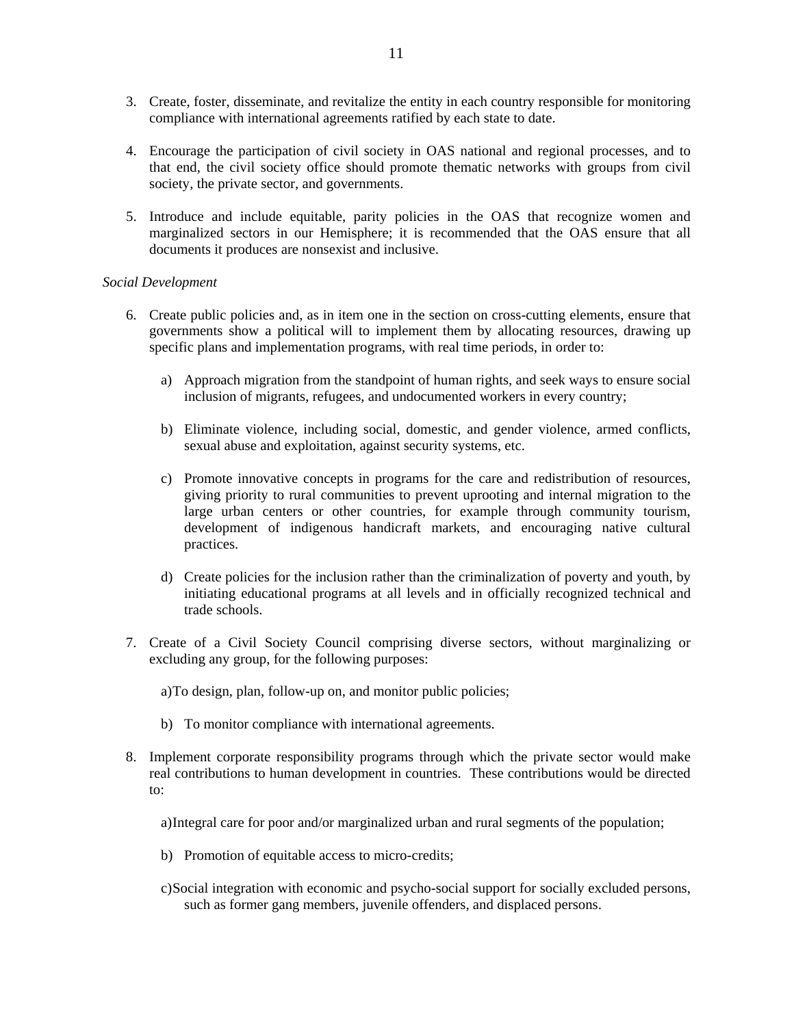- 3. Create, foster, disseminate, and revitalize the entity in each country responsible for monitoring compliance with international agreements ratified by each state to date.
- 4. Encourage the participation of civil society in OAS national and regional processes, and to that end, the civil society office should promote thematic networks with groups from civil society, the private sector, and governments.
- 5. Introduce and include equitable, parity policies in the OAS that recognize women and marginalized sectors in our Hemisphere; it is recommended that the OAS ensure that all documents it produces are nonsexist and inclusive.

### *Social Development*

- 6. Create public policies and, as in item one in the section on cross-cutting elements, ensure that governments show a political will to implement them by allocating resources, drawing up specific plans and implementation programs, with real time periods, in order to:
	- a) Approach migration from the standpoint of human rights, and seek ways to ensure social inclusion of migrants, refugees, and undocumented workers in every country;
	- b) Eliminate violence, including social, domestic, and gender violence, armed conflicts, sexual abuse and exploitation, against security systems, etc.
	- c) Promote innovative concepts in programs for the care and redistribution of resources, giving priority to rural communities to prevent uprooting and internal migration to the large urban centers or other countries, for example through community tourism, development of indigenous handicraft markets, and encouraging native cultural practices.
	- d) Create policies for the inclusion rather than the criminalization of poverty and youth, by initiating educational programs at all levels and in officially recognized technical and trade schools.
- 7. Create of a Civil Society Council comprising diverse sectors, without marginalizing or excluding any group, for the following purposes:

a)To design, plan, follow-up on, and monitor public policies;

- b) To monitor compliance with international agreements.
- 8. Implement corporate responsibility programs through which the private sector would make real contributions to human development in countries. These contributions would be directed to:

a)Integral care for poor and/or marginalized urban and rural segments of the population;

- b) Promotion of equitable access to micro-credits;
- c)Social integration with economic and psycho-social support for socially excluded persons, such as former gang members, juvenile offenders, and displaced persons.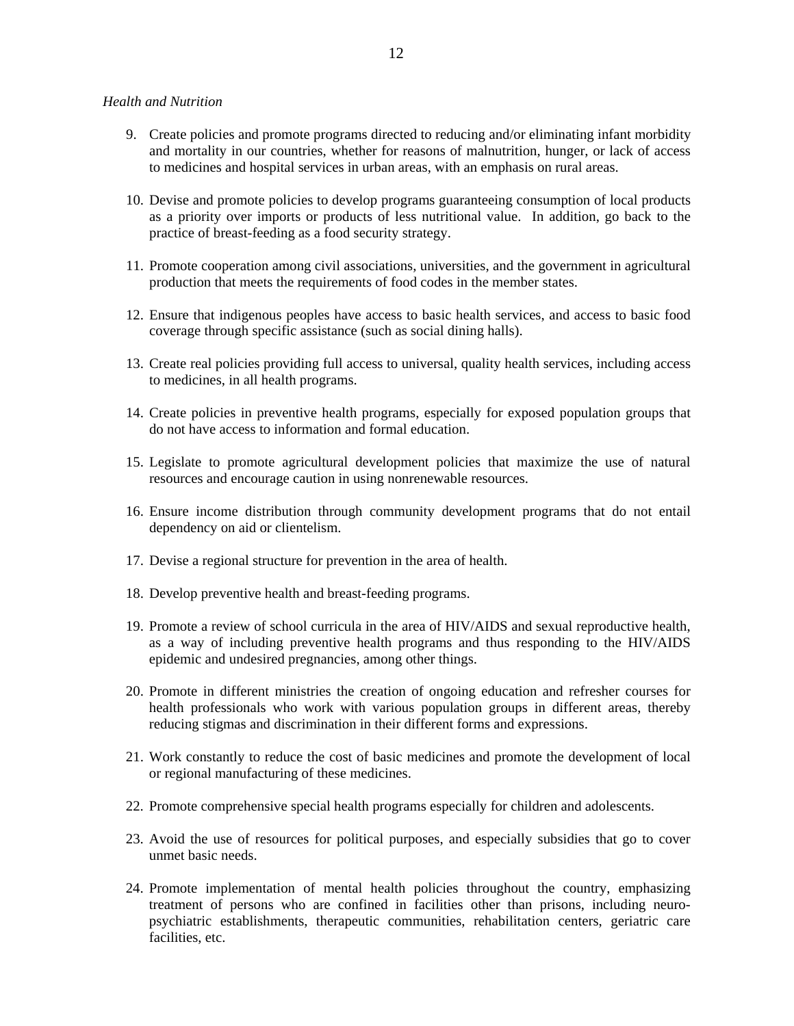#### *Health and Nutrition*

- 9. Create policies and promote programs directed to reducing and/or eliminating infant morbidity and mortality in our countries, whether for reasons of malnutrition, hunger, or lack of access to medicines and hospital services in urban areas, with an emphasis on rural areas.
- 10. Devise and promote policies to develop programs guaranteeing consumption of local products as a priority over imports or products of less nutritional value. In addition, go back to the practice of breast-feeding as a food security strategy.
- 11. Promote cooperation among civil associations, universities, and the government in agricultural production that meets the requirements of food codes in the member states.
- 12. Ensure that indigenous peoples have access to basic health services, and access to basic food coverage through specific assistance (such as social dining halls).
- 13. Create real policies providing full access to universal, quality health services, including access to medicines, in all health programs.
- 14. Create policies in preventive health programs, especially for exposed population groups that do not have access to information and formal education.
- 15. Legislate to promote agricultural development policies that maximize the use of natural resources and encourage caution in using nonrenewable resources.
- 16. Ensure income distribution through community development programs that do not entail dependency on aid or clientelism.
- 17. Devise a regional structure for prevention in the area of health.
- 18. Develop preventive health and breast-feeding programs.
- 19. Promote a review of school curricula in the area of HIV/AIDS and sexual reproductive health, as a way of including preventive health programs and thus responding to the HIV/AIDS epidemic and undesired pregnancies, among other things.
- 20. Promote in different ministries the creation of ongoing education and refresher courses for health professionals who work with various population groups in different areas, thereby reducing stigmas and discrimination in their different forms and expressions.
- 21. Work constantly to reduce the cost of basic medicines and promote the development of local or regional manufacturing of these medicines.
- 22. Promote comprehensive special health programs especially for children and adolescents.
- 23. Avoid the use of resources for political purposes, and especially subsidies that go to cover unmet basic needs.
- 24. Promote implementation of mental health policies throughout the country, emphasizing treatment of persons who are confined in facilities other than prisons, including neuropsychiatric establishments, therapeutic communities, rehabilitation centers, geriatric care facilities, etc.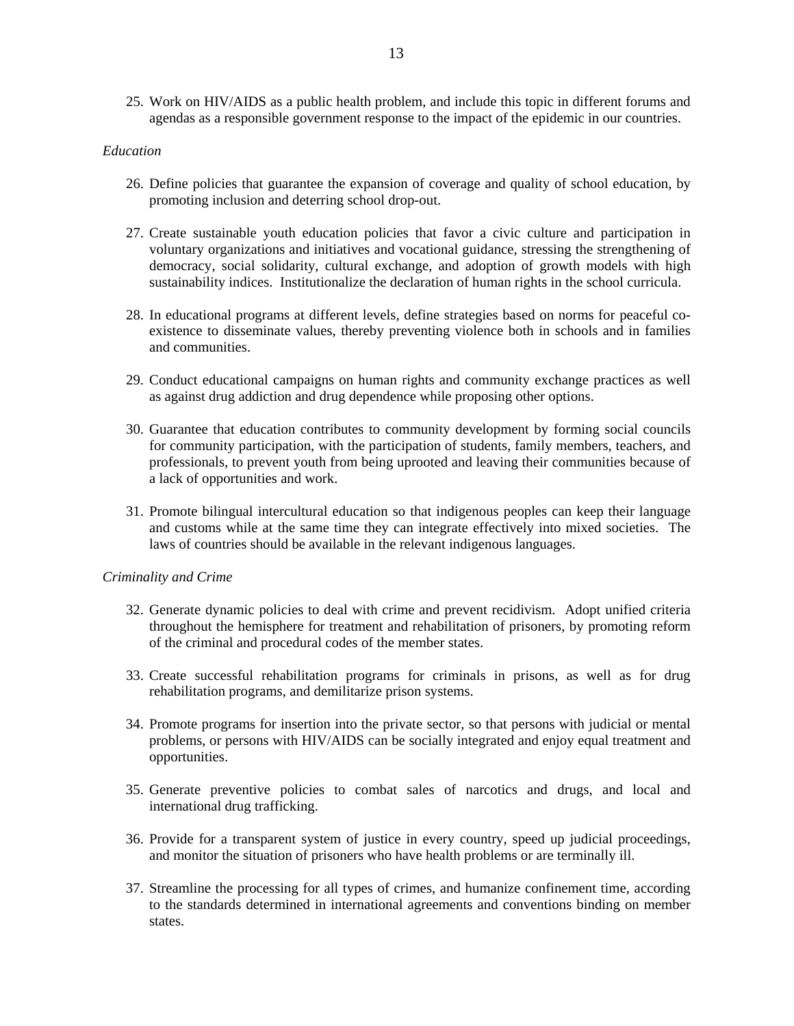25. Work on HIV/AIDS as a public health problem, and include this topic in different forums and agendas as a responsible government response to the impact of the epidemic in our countries.

### *Education*

- 26. Define policies that guarantee the expansion of coverage and quality of school education, by promoting inclusion and deterring school drop-out.
- 27. Create sustainable youth education policies that favor a civic culture and participation in voluntary organizations and initiatives and vocational guidance, stressing the strengthening of democracy, social solidarity, cultural exchange, and adoption of growth models with high sustainability indices. Institutionalize the declaration of human rights in the school curricula.
- 28. In educational programs at different levels, define strategies based on norms for peaceful coexistence to disseminate values, thereby preventing violence both in schools and in families and communities.
- 29. Conduct educational campaigns on human rights and community exchange practices as well as against drug addiction and drug dependence while proposing other options.
- 30. Guarantee that education contributes to community development by forming social councils for community participation, with the participation of students, family members, teachers, and professionals, to prevent youth from being uprooted and leaving their communities because of a lack of opportunities and work.
- 31. Promote bilingual intercultural education so that indigenous peoples can keep their language and customs while at the same time they can integrate effectively into mixed societies. The laws of countries should be available in the relevant indigenous languages.

### *Criminality and Crime*

- 32. Generate dynamic policies to deal with crime and prevent recidivism. Adopt unified criteria throughout the hemisphere for treatment and rehabilitation of prisoners, by promoting reform of the criminal and procedural codes of the member states.
- 33. Create successful rehabilitation programs for criminals in prisons, as well as for drug rehabilitation programs, and demilitarize prison systems.
- 34. Promote programs for insertion into the private sector, so that persons with judicial or mental problems, or persons with HIV/AIDS can be socially integrated and enjoy equal treatment and opportunities.
- 35. Generate preventive policies to combat sales of narcotics and drugs, and local and international drug trafficking.
- 36. Provide for a transparent system of justice in every country, speed up judicial proceedings, and monitor the situation of prisoners who have health problems or are terminally ill.
- 37. Streamline the processing for all types of crimes, and humanize confinement time, according to the standards determined in international agreements and conventions binding on member states.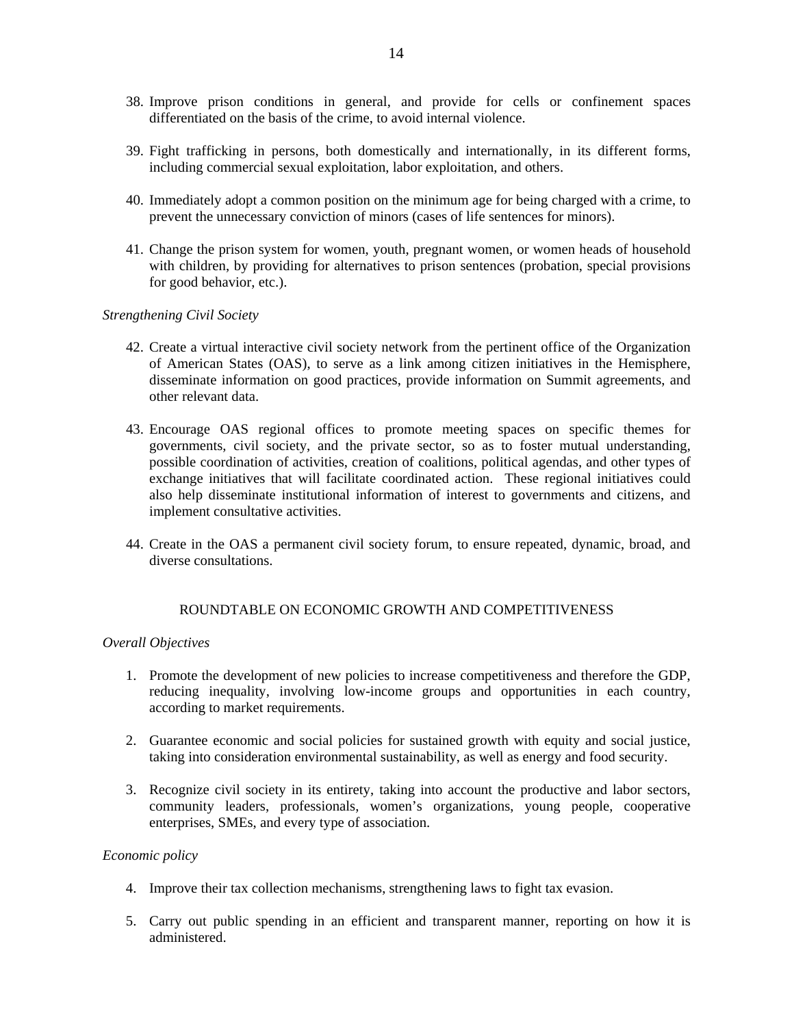- 38. Improve prison conditions in general, and provide for cells or confinement spaces differentiated on the basis of the crime, to avoid internal violence.
- 39. Fight trafficking in persons, both domestically and internationally, in its different forms, including commercial sexual exploitation, labor exploitation, and others.
- 40. Immediately adopt a common position on the minimum age for being charged with a crime, to prevent the unnecessary conviction of minors (cases of life sentences for minors).
- 41. Change the prison system for women, youth, pregnant women, or women heads of household with children, by providing for alternatives to prison sentences (probation, special provisions for good behavior, etc.).

#### *Strengthening Civil Society*

- 42. Create a virtual interactive civil society network from the pertinent office of the Organization of American States (OAS), to serve as a link among citizen initiatives in the Hemisphere, disseminate information on good practices, provide information on Summit agreements, and other relevant data.
- 43. Encourage OAS regional offices to promote meeting spaces on specific themes for governments, civil society, and the private sector, so as to foster mutual understanding, possible coordination of activities, creation of coalitions, political agendas, and other types of exchange initiatives that will facilitate coordinated action. These regional initiatives could also help disseminate institutional information of interest to governments and citizens, and implement consultative activities.
- 44. Create in the OAS a permanent civil society forum, to ensure repeated, dynamic, broad, and diverse consultations.

### ROUNDTABLE ON ECONOMIC GROWTH AND COMPETITIVENESS

#### *Overall Objectives*

- 1. Promote the development of new policies to increase competitiveness and therefore the GDP, reducing inequality, involving low-income groups and opportunities in each country, according to market requirements.
- 2. Guarantee economic and social policies for sustained growth with equity and social justice, taking into consideration environmental sustainability, as well as energy and food security.
- 3. Recognize civil society in its entirety, taking into account the productive and labor sectors, community leaders, professionals, women's organizations, young people, cooperative enterprises, SMEs, and every type of association.

### *Economic policy*

- 4. Improve their tax collection mechanisms, strengthening laws to fight tax evasion.
- 5. Carry out public spending in an efficient and transparent manner, reporting on how it is administered.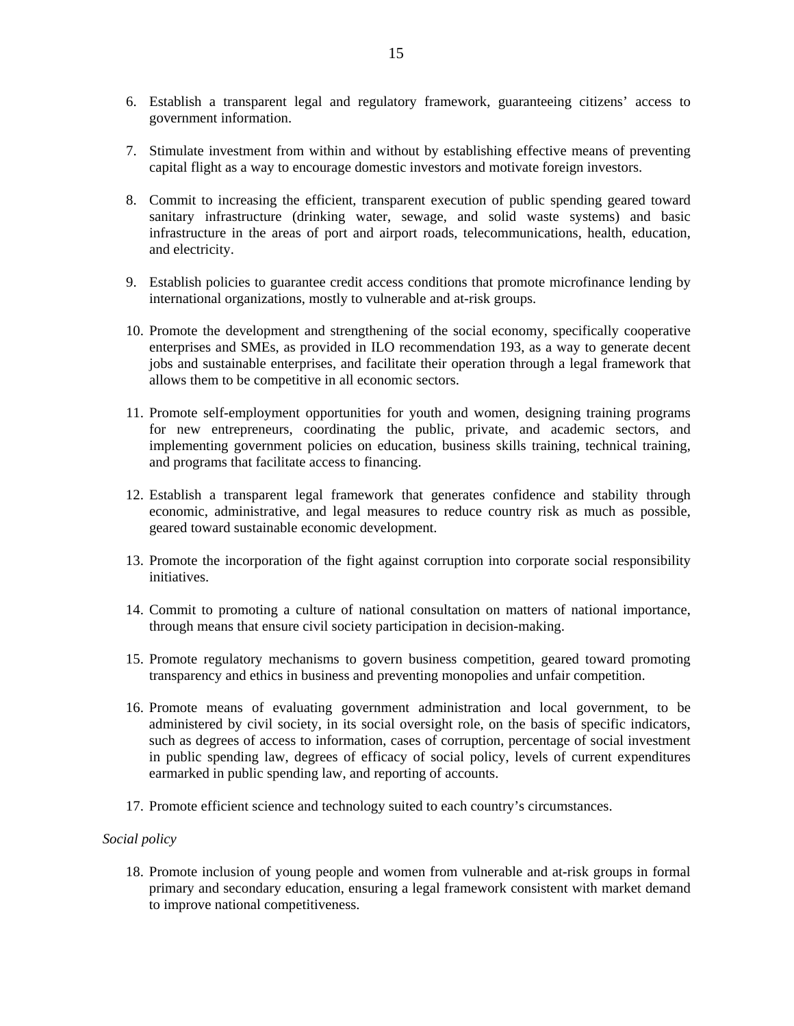- 6. Establish a transparent legal and regulatory framework, guaranteeing citizens' access to government information.
- 7. Stimulate investment from within and without by establishing effective means of preventing capital flight as a way to encourage domestic investors and motivate foreign investors.
- 8. Commit to increasing the efficient, transparent execution of public spending geared toward sanitary infrastructure (drinking water, sewage, and solid waste systems) and basic infrastructure in the areas of port and airport roads, telecommunications, health, education, and electricity.
- 9. Establish policies to guarantee credit access conditions that promote microfinance lending by international organizations, mostly to vulnerable and at-risk groups.
- 10. Promote the development and strengthening of the social economy, specifically cooperative enterprises and SMEs, as provided in ILO recommendation 193, as a way to generate decent jobs and sustainable enterprises, and facilitate their operation through a legal framework that allows them to be competitive in all economic sectors.
- 11. Promote self-employment opportunities for youth and women, designing training programs for new entrepreneurs, coordinating the public, private, and academic sectors, and implementing government policies on education, business skills training, technical training, and programs that facilitate access to financing.
- 12. Establish a transparent legal framework that generates confidence and stability through economic, administrative, and legal measures to reduce country risk as much as possible, geared toward sustainable economic development.
- 13. Promote the incorporation of the fight against corruption into corporate social responsibility initiatives.
- 14. Commit to promoting a culture of national consultation on matters of national importance, through means that ensure civil society participation in decision-making.
- 15. Promote regulatory mechanisms to govern business competition, geared toward promoting transparency and ethics in business and preventing monopolies and unfair competition.
- 16. Promote means of evaluating government administration and local government, to be administered by civil society, in its social oversight role, on the basis of specific indicators, such as degrees of access to information, cases of corruption, percentage of social investment in public spending law, degrees of efficacy of social policy, levels of current expenditures earmarked in public spending law, and reporting of accounts.
- 17. Promote efficient science and technology suited to each country's circumstances.

### *Social policy*

18. Promote inclusion of young people and women from vulnerable and at-risk groups in formal primary and secondary education, ensuring a legal framework consistent with market demand to improve national competitiveness.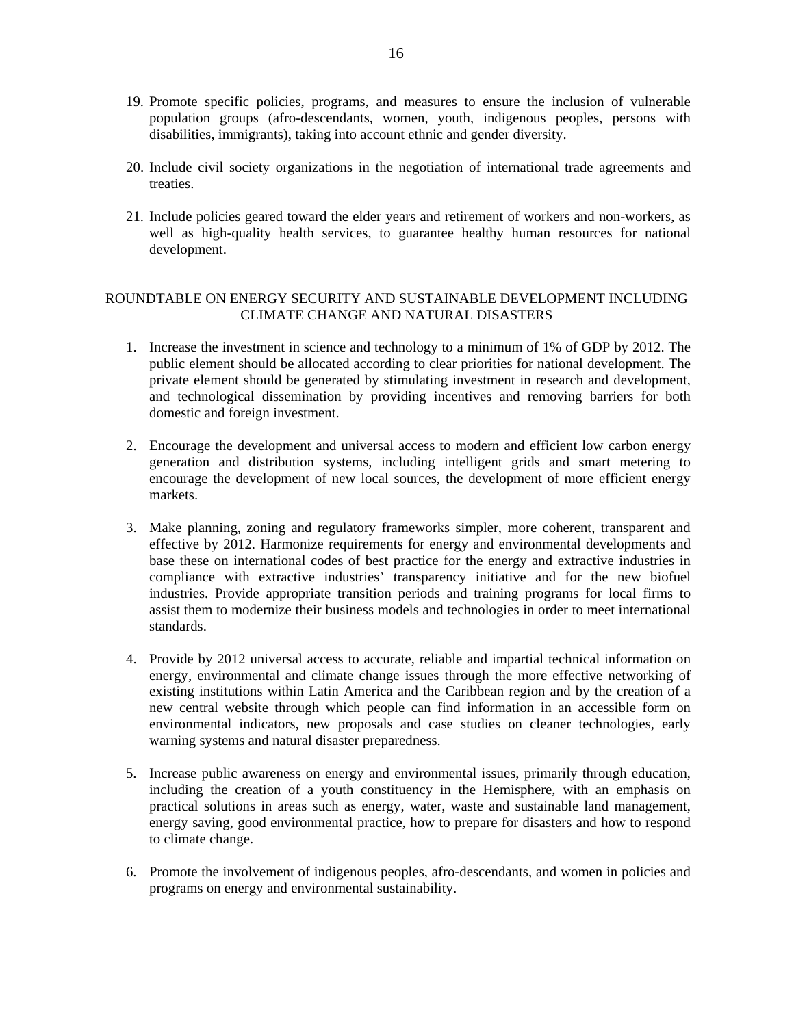- 19. Promote specific policies, programs, and measures to ensure the inclusion of vulnerable population groups (afro-descendants, women, youth, indigenous peoples, persons with disabilities, immigrants), taking into account ethnic and gender diversity.
- 20. Include civil society organizations in the negotiation of international trade agreements and treaties.
- 21. Include policies geared toward the elder years and retirement of workers and non-workers, as well as high-quality health services, to guarantee healthy human resources for national development.

# ROUNDTABLE ON ENERGY SECURITY AND SUSTAINABLE DEVELOPMENT INCLUDING CLIMATE CHANGE AND NATURAL DISASTERS

- 1. Increase the investment in science and technology to a minimum of 1% of GDP by 2012. The public element should be allocated according to clear priorities for national development. The private element should be generated by stimulating investment in research and development, and technological dissemination by providing incentives and removing barriers for both domestic and foreign investment.
- 2. Encourage the development and universal access to modern and efficient low carbon energy generation and distribution systems, including intelligent grids and smart metering to encourage the development of new local sources, the development of more efficient energy markets.
- 3. Make planning, zoning and regulatory frameworks simpler, more coherent, transparent and effective by 2012. Harmonize requirements for energy and environmental developments and base these on international codes of best practice for the energy and extractive industries in compliance with extractive industries' transparency initiative and for the new biofuel industries. Provide appropriate transition periods and training programs for local firms to assist them to modernize their business models and technologies in order to meet international standards.
- 4. Provide by 2012 universal access to accurate, reliable and impartial technical information on energy, environmental and climate change issues through the more effective networking of existing institutions within Latin America and the Caribbean region and by the creation of a new central website through which people can find information in an accessible form on environmental indicators, new proposals and case studies on cleaner technologies, early warning systems and natural disaster preparedness.
- 5. Increase public awareness on energy and environmental issues, primarily through education, including the creation of a youth constituency in the Hemisphere, with an emphasis on practical solutions in areas such as energy, water, waste and sustainable land management, energy saving, good environmental practice, how to prepare for disasters and how to respond to climate change.
- 6. Promote the involvement of indigenous peoples, afro-descendants, and women in policies and programs on energy and environmental sustainability.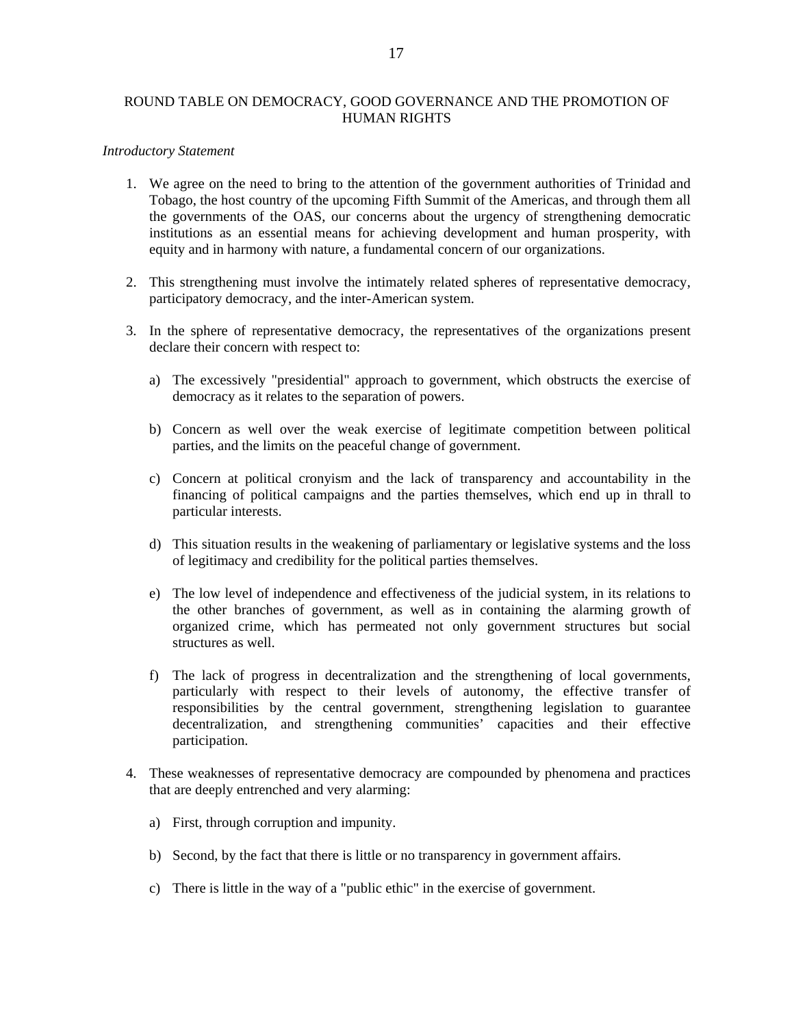### ROUND TABLE ON DEMOCRACY, GOOD GOVERNANCE AND THE PROMOTION OF HUMAN RIGHTS

#### *Introductory Statement*

- 1. We agree on the need to bring to the attention of the government authorities of Trinidad and Tobago, the host country of the upcoming Fifth Summit of the Americas, and through them all the governments of the OAS, our concerns about the urgency of strengthening democratic institutions as an essential means for achieving development and human prosperity, with equity and in harmony with nature, a fundamental concern of our organizations.
- 2. This strengthening must involve the intimately related spheres of representative democracy, participatory democracy, and the inter-American system.
- 3. In the sphere of representative democracy, the representatives of the organizations present declare their concern with respect to:
	- a) The excessively "presidential" approach to government, which obstructs the exercise of democracy as it relates to the separation of powers.
	- b) Concern as well over the weak exercise of legitimate competition between political parties, and the limits on the peaceful change of government.
	- c) Concern at political cronyism and the lack of transparency and accountability in the financing of political campaigns and the parties themselves, which end up in thrall to particular interests.
	- d) This situation results in the weakening of parliamentary or legislative systems and the loss of legitimacy and credibility for the political parties themselves.
	- e) The low level of independence and effectiveness of the judicial system, in its relations to the other branches of government, as well as in containing the alarming growth of organized crime, which has permeated not only government structures but social structures as well.
	- f) The lack of progress in decentralization and the strengthening of local governments, particularly with respect to their levels of autonomy, the effective transfer of responsibilities by the central government, strengthening legislation to guarantee decentralization, and strengthening communities' capacities and their effective participation.
- 4. These weaknesses of representative democracy are compounded by phenomena and practices that are deeply entrenched and very alarming:
	- a) First, through corruption and impunity.
	- b) Second, by the fact that there is little or no transparency in government affairs.
	- c) There is little in the way of a "public ethic" in the exercise of government.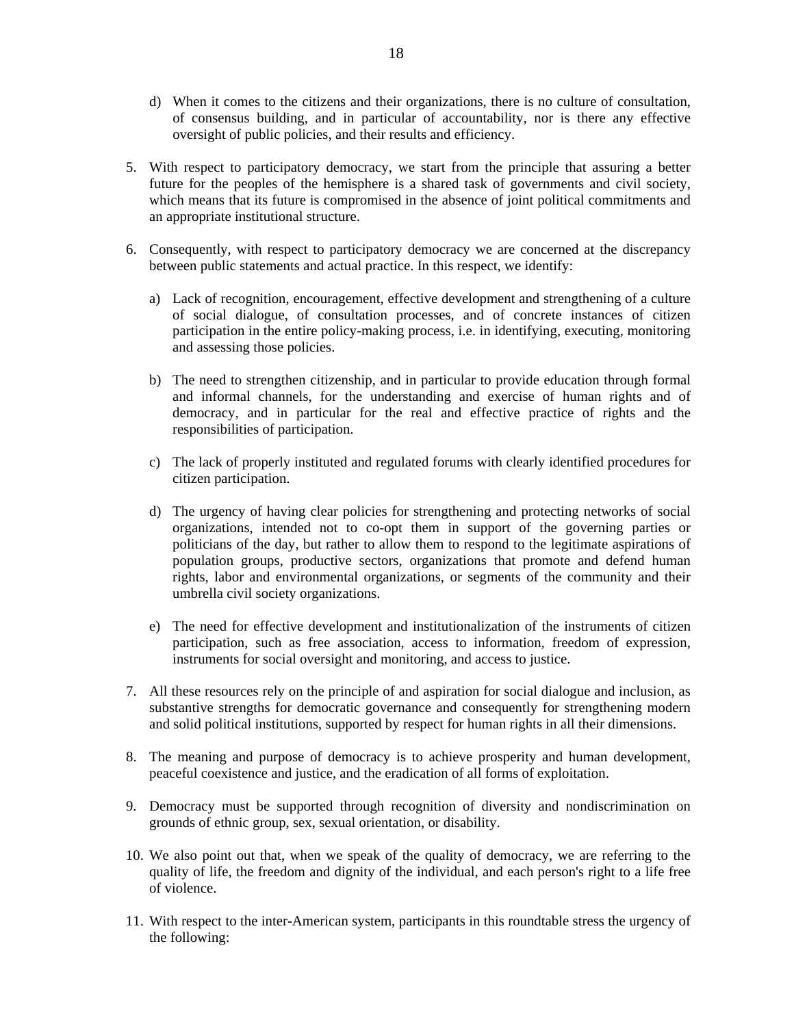- d) When it comes to the citizens and their organizations, there is no culture of consultation, of consensus building, and in particular of accountability, nor is there any effective oversight of public policies, and their results and efficiency.
- 5. With respect to participatory democracy, we start from the principle that assuring a better future for the peoples of the hemisphere is a shared task of governments and civil society, which means that its future is compromised in the absence of joint political commitments and an appropriate institutional structure.
- 6. Consequently, with respect to participatory democracy we are concerned at the discrepancy between public statements and actual practice. In this respect, we identify:
	- a) Lack of recognition, encouragement, effective development and strengthening of a culture of social dialogue, of consultation processes, and of concrete instances of citizen participation in the entire policy-making process, i.e. in identifying, executing, monitoring and assessing those policies.
	- b) The need to strengthen citizenship, and in particular to provide education through formal and informal channels, for the understanding and exercise of human rights and of democracy, and in particular for the real and effective practice of rights and the responsibilities of participation.
	- c) The lack of properly instituted and regulated forums with clearly identified procedures for citizen participation.
	- d) The urgency of having clear policies for strengthening and protecting networks of social organizations, intended not to co-opt them in support of the governing parties or politicians of the day, but rather to allow them to respond to the legitimate aspirations of population groups, productive sectors, organizations that promote and defend human rights, labor and environmental organizations, or segments of the community and their umbrella civil society organizations.
	- e) The need for effective development and institutionalization of the instruments of citizen participation, such as free association, access to information, freedom of expression, instruments for social oversight and monitoring, and access to justice.
- 7. All these resources rely on the principle of and aspiration for social dialogue and inclusion, as substantive strengths for democratic governance and consequently for strengthening modern and solid political institutions, supported by respect for human rights in all their dimensions.
- 8. The meaning and purpose of democracy is to achieve prosperity and human development, peaceful coexistence and justice, and the eradication of all forms of exploitation.
- 9. Democracy must be supported through recognition of diversity and nondiscrimination on grounds of ethnic group, sex, sexual orientation, or disability.
- 10. We also point out that, when we speak of the quality of democracy, we are referring to the quality of life, the freedom and dignity of the individual, and each person's right to a life free of violence.
- 11. With respect to the inter-American system, participants in this roundtable stress the urgency of the following: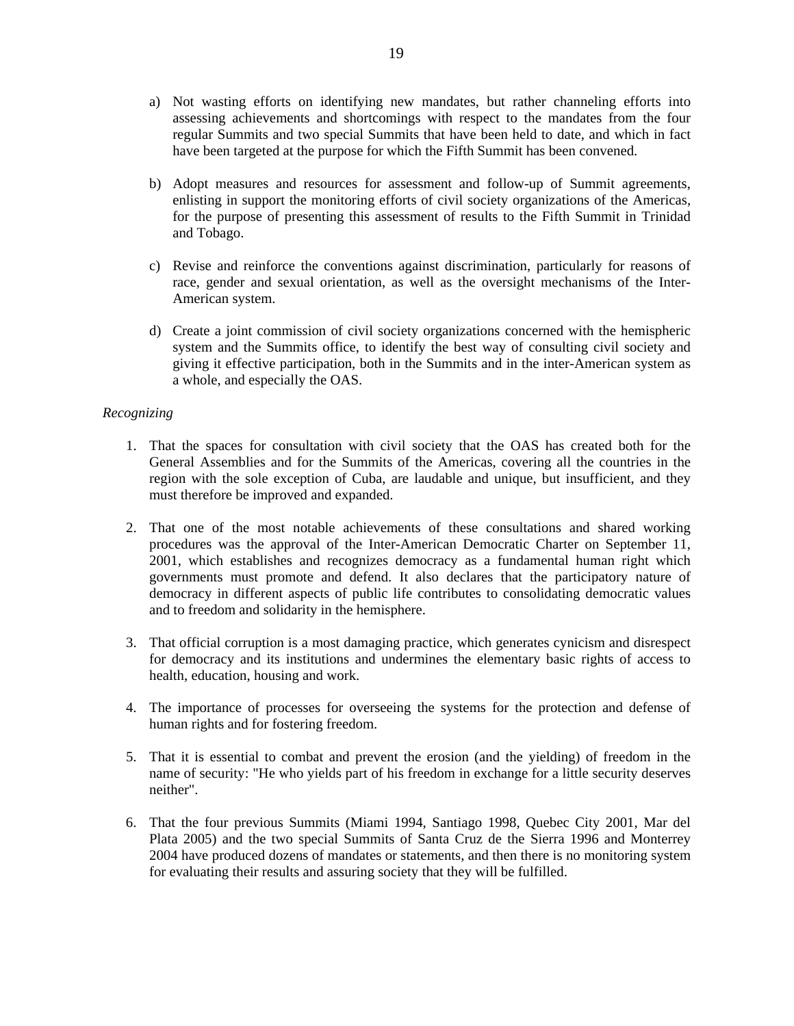- a) Not wasting efforts on identifying new mandates, but rather channeling efforts into assessing achievements and shortcomings with respect to the mandates from the four regular Summits and two special Summits that have been held to date, and which in fact have been targeted at the purpose for which the Fifth Summit has been convened.
- b) Adopt measures and resources for assessment and follow-up of Summit agreements, enlisting in support the monitoring efforts of civil society organizations of the Americas, for the purpose of presenting this assessment of results to the Fifth Summit in Trinidad and Tobago.
- c) Revise and reinforce the conventions against discrimination, particularly for reasons of race, gender and sexual orientation, as well as the oversight mechanisms of the Inter-American system.
- d) Create a joint commission of civil society organizations concerned with the hemispheric system and the Summits office, to identify the best way of consulting civil society and giving it effective participation, both in the Summits and in the inter-American system as a whole, and especially the OAS.

### *Recognizing*

- 1. That the spaces for consultation with civil society that the OAS has created both for the General Assemblies and for the Summits of the Americas, covering all the countries in the region with the sole exception of Cuba, are laudable and unique, but insufficient, and they must therefore be improved and expanded.
- 2. That one of the most notable achievements of these consultations and shared working procedures was the approval of the Inter-American Democratic Charter on September 11, 2001, which establishes and recognizes democracy as a fundamental human right which governments must promote and defend. It also declares that the participatory nature of democracy in different aspects of public life contributes to consolidating democratic values and to freedom and solidarity in the hemisphere.
- 3. That official corruption is a most damaging practice, which generates cynicism and disrespect for democracy and its institutions and undermines the elementary basic rights of access to health, education, housing and work.
- 4. The importance of processes for overseeing the systems for the protection and defense of human rights and for fostering freedom.
- 5. That it is essential to combat and prevent the erosion (and the yielding) of freedom in the name of security: "He who yields part of his freedom in exchange for a little security deserves neither".
- 6. That the four previous Summits (Miami 1994, Santiago 1998, Quebec City 2001, Mar del Plata 2005) and the two special Summits of Santa Cruz de the Sierra 1996 and Monterrey 2004 have produced dozens of mandates or statements, and then there is no monitoring system for evaluating their results and assuring society that they will be fulfilled.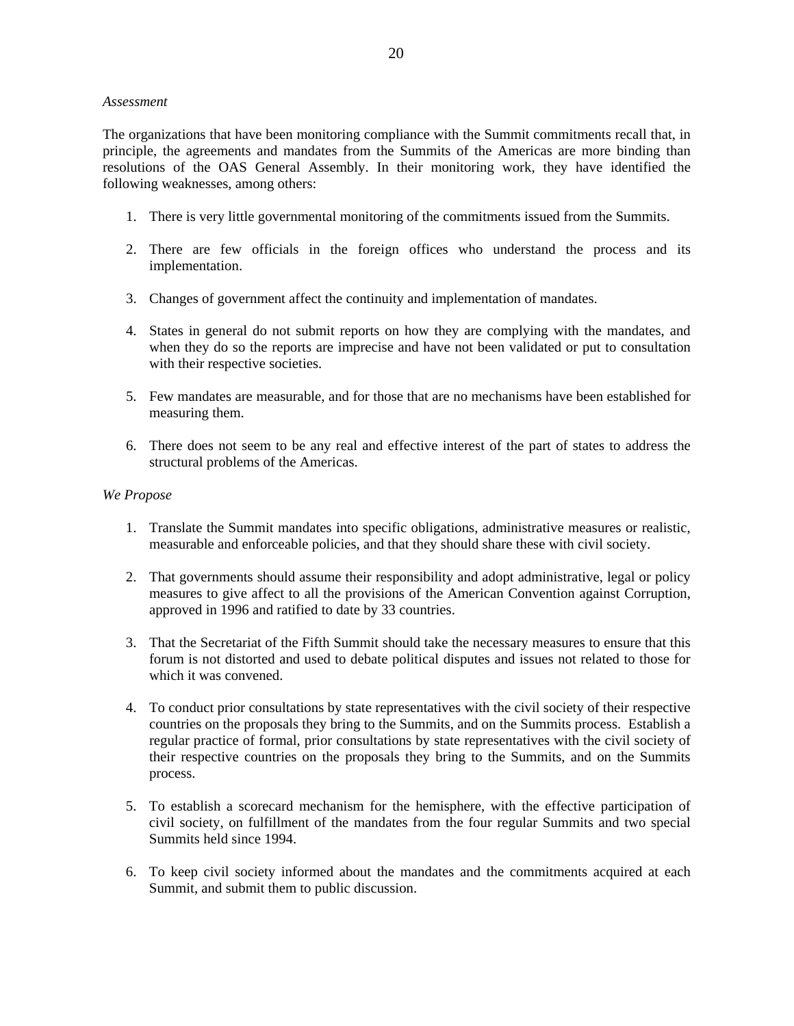### *Assessment*

The organizations that have been monitoring compliance with the Summit commitments recall that, in principle, the agreements and mandates from the Summits of the Americas are more binding than resolutions of the OAS General Assembly. In their monitoring work, they have identified the following weaknesses, among others:

- 1. There is very little governmental monitoring of the commitments issued from the Summits.
- 2. There are few officials in the foreign offices who understand the process and its implementation.
- 3. Changes of government affect the continuity and implementation of mandates.
- 4. States in general do not submit reports on how they are complying with the mandates, and when they do so the reports are imprecise and have not been validated or put to consultation with their respective societies.
- 5. Few mandates are measurable, and for those that are no mechanisms have been established for measuring them.
- 6. There does not seem to be any real and effective interest of the part of states to address the structural problems of the Americas.

### *We Propose*

- 1. Translate the Summit mandates into specific obligations, administrative measures or realistic, measurable and enforceable policies, and that they should share these with civil society.
- 2. That governments should assume their responsibility and adopt administrative, legal or policy measures to give affect to all the provisions of the American Convention against Corruption, approved in 1996 and ratified to date by 33 countries.
- 3. That the Secretariat of the Fifth Summit should take the necessary measures to ensure that this forum is not distorted and used to debate political disputes and issues not related to those for which it was convened.
- 4. To conduct prior consultations by state representatives with the civil society of their respective countries on the proposals they bring to the Summits, and on the Summits process. Establish a regular practice of formal, prior consultations by state representatives with the civil society of their respective countries on the proposals they bring to the Summits, and on the Summits process.
- 5. To establish a scorecard mechanism for the hemisphere, with the effective participation of civil society, on fulfillment of the mandates from the four regular Summits and two special Summits held since 1994.
- 6. To keep civil society informed about the mandates and the commitments acquired at each Summit, and submit them to public discussion.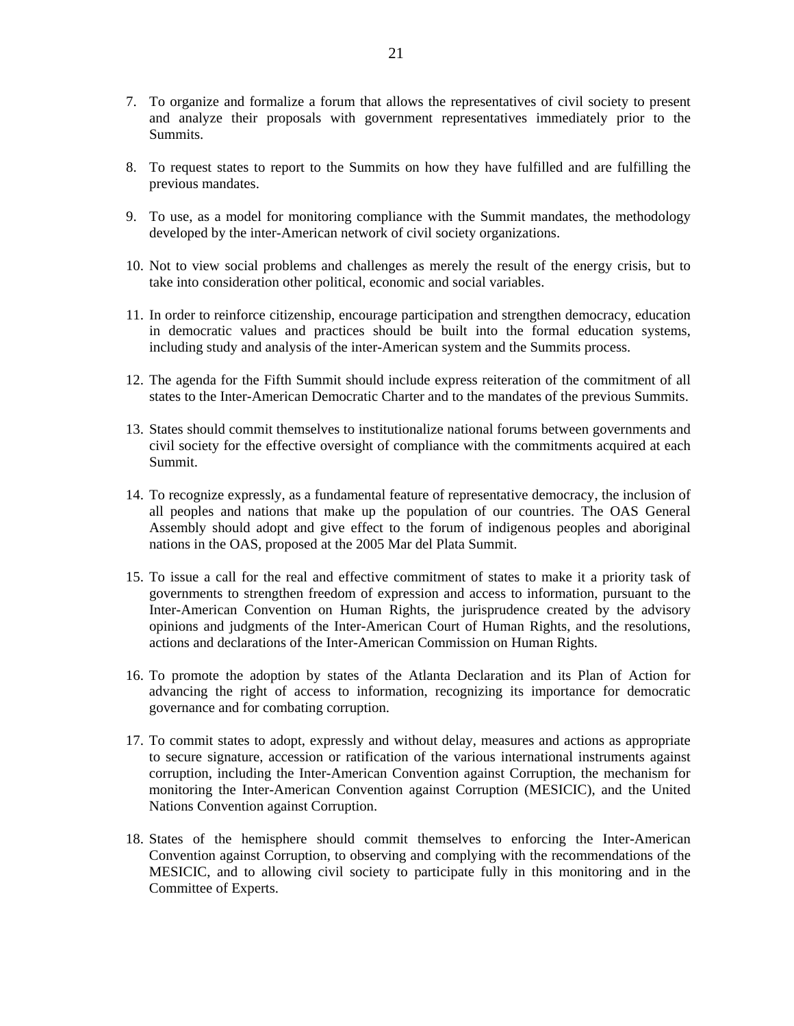- 7. To organize and formalize a forum that allows the representatives of civil society to present and analyze their proposals with government representatives immediately prior to the Summits.
- 8. To request states to report to the Summits on how they have fulfilled and are fulfilling the previous mandates.
- 9. To use, as a model for monitoring compliance with the Summit mandates, the methodology developed by the inter-American network of civil society organizations.
- 10. Not to view social problems and challenges as merely the result of the energy crisis, but to take into consideration other political, economic and social variables.
- 11. In order to reinforce citizenship, encourage participation and strengthen democracy, education in democratic values and practices should be built into the formal education systems, including study and analysis of the inter-American system and the Summits process.
- 12. The agenda for the Fifth Summit should include express reiteration of the commitment of all states to the Inter-American Democratic Charter and to the mandates of the previous Summits.
- 13. States should commit themselves to institutionalize national forums between governments and civil society for the effective oversight of compliance with the commitments acquired at each Summit.
- 14. To recognize expressly, as a fundamental feature of representative democracy, the inclusion of all peoples and nations that make up the population of our countries. The OAS General Assembly should adopt and give effect to the forum of indigenous peoples and aboriginal nations in the OAS, proposed at the 2005 Mar del Plata Summit.
- 15. To issue a call for the real and effective commitment of states to make it a priority task of governments to strengthen freedom of expression and access to information, pursuant to the Inter-American Convention on Human Rights, the jurisprudence created by the advisory opinions and judgments of the Inter-American Court of Human Rights, and the resolutions, actions and declarations of the Inter-American Commission on Human Rights.
- 16. To promote the adoption by states of the Atlanta Declaration and its Plan of Action for advancing the right of access to information, recognizing its importance for democratic governance and for combating corruption.
- 17. To commit states to adopt, expressly and without delay, measures and actions as appropriate to secure signature, accession or ratification of the various international instruments against corruption, including the Inter-American Convention against Corruption, the mechanism for monitoring the Inter-American Convention against Corruption (MESICIC), and the United Nations Convention against Corruption.
- 18. States of the hemisphere should commit themselves to enforcing the Inter-American Convention against Corruption, to observing and complying with the recommendations of the MESICIC, and to allowing civil society to participate fully in this monitoring and in the Committee of Experts.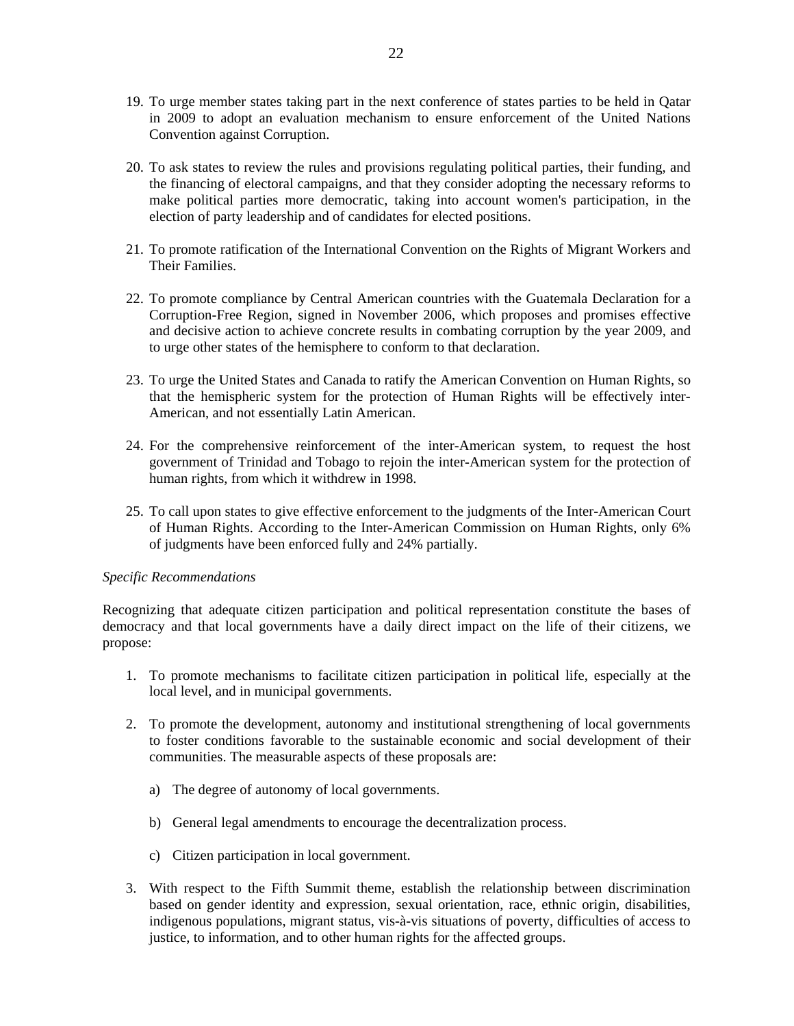- 19. To urge member states taking part in the next conference of states parties to be held in Qatar in 2009 to adopt an evaluation mechanism to ensure enforcement of the United Nations Convention against Corruption.
- 20. To ask states to review the rules and provisions regulating political parties, their funding, and the financing of electoral campaigns, and that they consider adopting the necessary reforms to make political parties more democratic, taking into account women's participation, in the election of party leadership and of candidates for elected positions.
- 21. To promote ratification of the International Convention on the Rights of Migrant Workers and Their Families.
- 22. To promote compliance by Central American countries with the Guatemala Declaration for a Corruption-Free Region, signed in November 2006, which proposes and promises effective and decisive action to achieve concrete results in combating corruption by the year 2009, and to urge other states of the hemisphere to conform to that declaration.
- 23. To urge the United States and Canada to ratify the American Convention on Human Rights, so that the hemispheric system for the protection of Human Rights will be effectively inter-American, and not essentially Latin American.
- 24. For the comprehensive reinforcement of the inter-American system, to request the host government of Trinidad and Tobago to rejoin the inter-American system for the protection of human rights, from which it withdrew in 1998.
- 25. To call upon states to give effective enforcement to the judgments of the Inter-American Court of Human Rights. According to the Inter-American Commission on Human Rights, only 6% of judgments have been enforced fully and 24% partially.

### *Specific Recommendations*

Recognizing that adequate citizen participation and political representation constitute the bases of democracy and that local governments have a daily direct impact on the life of their citizens, we propose:

- 1. To promote mechanisms to facilitate citizen participation in political life, especially at the local level, and in municipal governments.
- 2. To promote the development, autonomy and institutional strengthening of local governments to foster conditions favorable to the sustainable economic and social development of their communities. The measurable aspects of these proposals are:
	- a) The degree of autonomy of local governments.
	- b) General legal amendments to encourage the decentralization process.
	- c) Citizen participation in local government.
- 3. With respect to the Fifth Summit theme, establish the relationship between discrimination based on gender identity and expression, sexual orientation, race, ethnic origin, disabilities, indigenous populations, migrant status, vis-à-vis situations of poverty, difficulties of access to justice, to information, and to other human rights for the affected groups.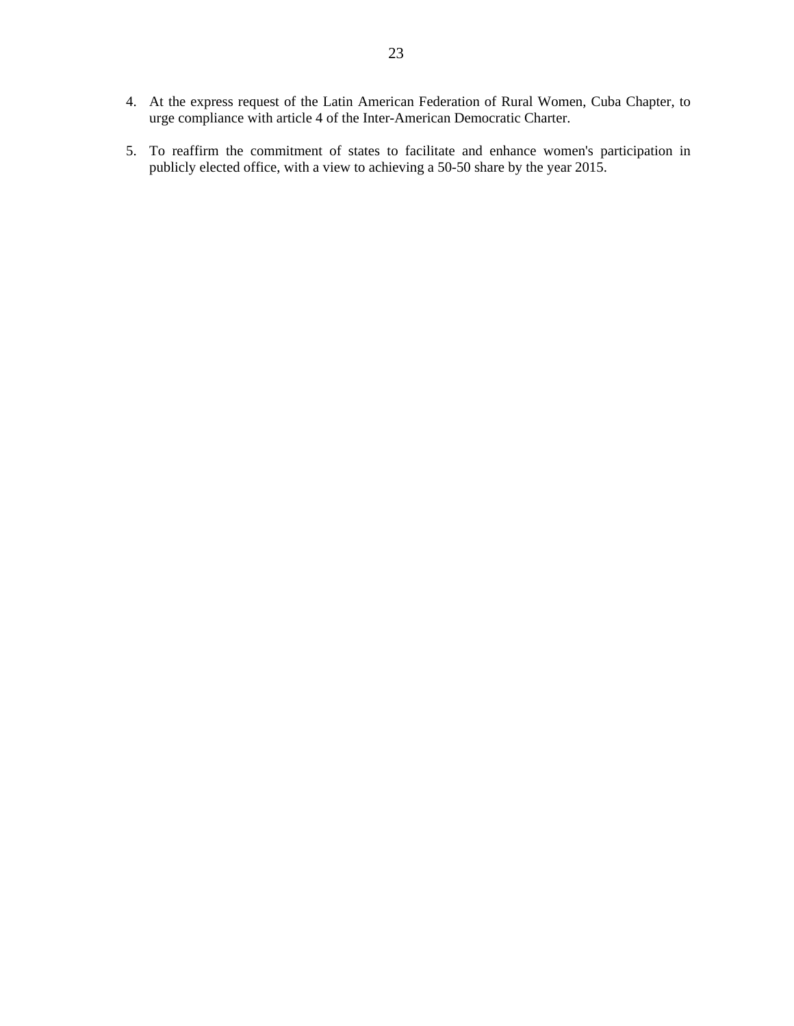- 4. At the express request of the Latin American Federation of Rural Women, Cuba Chapter, to urge compliance with article 4 of the Inter-American Democratic Charter.
- 5. To reaffirm the commitment of states to facilitate and enhance women's participation in publicly elected office, with a view to achieving a 50-50 share by the year 2015.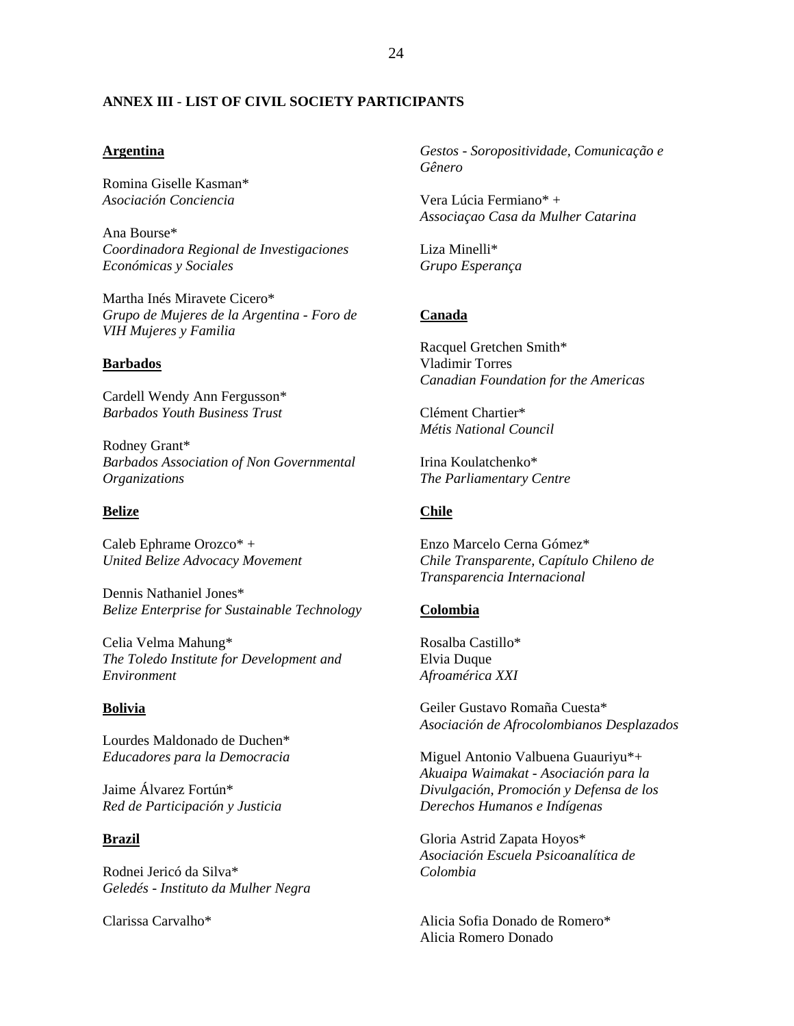#### <span id="page-22-0"></span>**ANNEX III** - **LIST OF CIVIL SOCIETY PARTICIPANTS**

#### **Argentina**

Romina Giselle Kasman\* *Asociación Conciencia* 

Ana Bourse\* *Coordinadora Regional de Investigaciones Económicas y Sociales* 

Martha Inés Miravete Cicero\* *Grupo de Mujeres de la Argentina - Foro de VIH Mujeres y Familia* 

#### **Barbados**

Cardell Wendy Ann Fergusson\* *Barbados Youth Business Trust* 

Rodney Grant\* *Barbados Association of Non Governmental Organizations* 

#### **Belize**

Caleb Ephrame Orozco\* + *United Belize Advocacy Movement* 

Dennis Nathaniel Jones\* *Belize Enterprise for Sustainable Technology* 

Celia Velma Mahung\* *The Toledo Institute for Development and Environment* 

### **Bolivia**

Lourdes Maldonado de Duchen\* *Educadores para la Democracia* 

Jaime Álvarez Fortún\* *Red de Participación y Justicia* 

### **Brazil**

Rodnei Jericó da Silva\* *Geledés - Instituto da Mulher Negra* 

Clarissa Carvalho\*

*Gestos - Soropositividade, Comunicação e Gênero* 

Vera Lúcia Fermiano\* + *Associaçao Casa da Mulher Catarina* 

Liza Minelli\* *Grupo Esperança* 

#### **Canada**

Racquel Gretchen Smith\* Vladimir Torres *Canadian Foundation for the Americas* 

Clément Chartier\* *Métis National Council* 

Irina Koulatchenko\* *The Parliamentary Centre* 

## **Chile**

Enzo Marcelo Cerna Gómez\* *Chile Transparente, Capítulo Chileno de Transparencia Internacional* 

#### **Colombia**

Rosalba Castillo\* Elvia Duque *Afroamérica XXI* 

Geiler Gustavo Romaña Cuesta\* *Asociación de Afrocolombianos Desplazados* 

Miguel Antonio Valbuena Guauriyu\*+ *Akuaipa Waimakat - Asociación para la Divulgación, Promoción y Defensa de los Derechos Humanos e Indígenas* 

Gloria Astrid Zapata Hoyos\* *Asociación Escuela Psicoanalítica de Colombia* 

Alicia Sofia Donado de Romero\* Alicia Romero Donado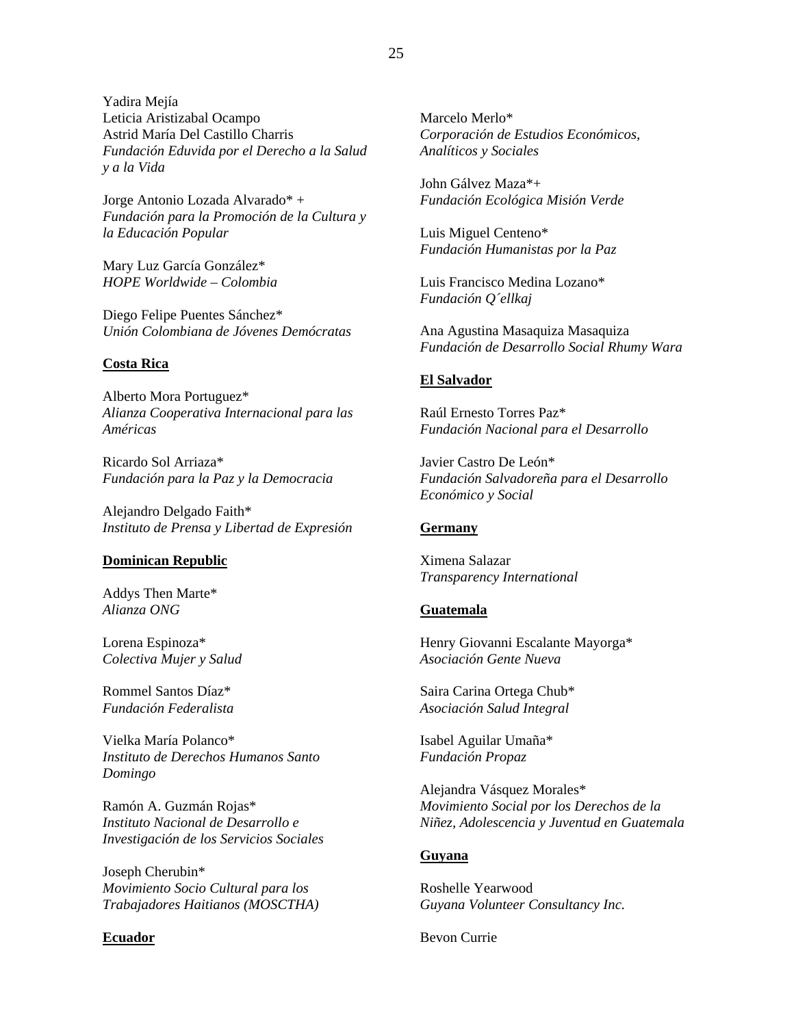Yadira Mejía Leticia Aristizabal Ocampo Astrid María Del Castillo Charris *Fundación Eduvida por el Derecho a la Salud y a la Vida* 

Jorge Antonio Lozada Alvarado\* + *Fundación para la Promoción de la Cultura y la Educación Popular* 

Mary Luz García González\* *HOPE Worldwide – Colombia* 

Diego Felipe Puentes Sánchez\* *Unión Colombiana de Jóvenes Demócratas* 

### **Costa Rica**

Alberto Mora Portuguez\* *Alianza Cooperativa Internacional para las Américas* 

Ricardo Sol Arriaza\* *Fundación para la Paz y la Democracia* 

Alejandro Delgado Faith\* *Instituto de Prensa y Libertad de Expresión* 

#### **Dominican Republic**

Addys Then Marte\* *Alianza ONG* 

Lorena Espinoza\* *Colectiva Mujer y Salud* 

Rommel Santos Díaz\* *Fundación Federalista* 

Vielka María Polanco\* *Instituto de Derechos Humanos Santo Domingo* 

Ramón A. Guzmán Rojas\* *Instituto Nacional de Desarrollo e Investigación de los Servicios Sociales* 

Joseph Cherubin\* *Movimiento Socio Cultural para los Trabajadores Haitianos (MOSCTHA)* 

#### **Ecuador**

Marcelo Merlo\* *Corporación de Estudios Económicos, Analíticos y Sociales* 

John Gálvez Maza\*+ *Fundación Ecológica Misión Verde* 

Luis Miguel Centeno\* *Fundación Humanistas por la Paz* 

Luis Francisco Medina Lozano\* *Fundación Q´ellkaj* 

Ana Agustina Masaquiza Masaquiza *Fundación de Desarrollo Social Rhumy Wara* 

#### **El Salvador**

Raúl Ernesto Torres Paz\* *Fundación Nacional para el Desarrollo* 

Javier Castro De León\* *Fundación Salvadoreña para el Desarrollo Económico y Social* 

### **Germany**

Ximena Salazar *Transparency International* 

#### **Guatemala**

Henry Giovanni Escalante Mayorga\* *Asociación Gente Nueva* 

Saira Carina Ortega Chub\* *Asociación Salud Integral* 

Isabel Aguilar Umaña\* *Fundación Propaz* 

Alejandra Vásquez Morales\* *Movimiento Social por los Derechos de la Niñez, Adolescencia y Juventud en Guatemala* 

#### **Guyana**

Roshelle Yearwood *Guyana Volunteer Consultancy Inc.* 

Bevon Currie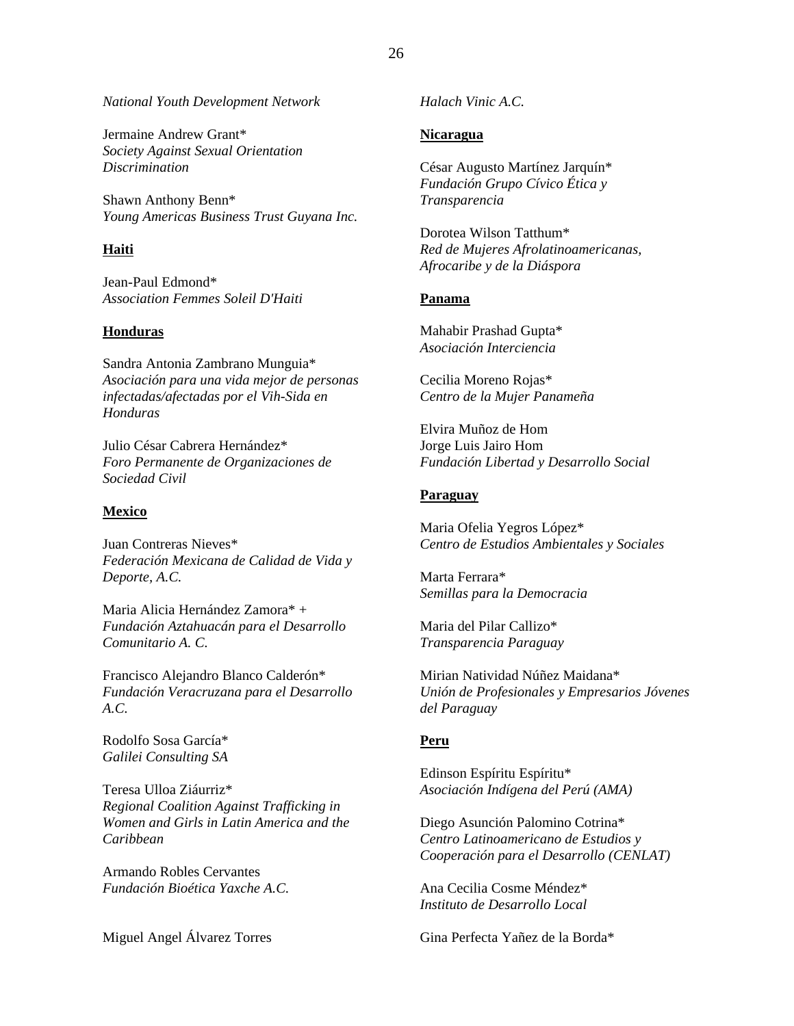*National Youth Development Network* 

Jermaine Andrew Grant\* *Society Against Sexual Orientation Discrimination* 

Shawn Anthony Benn\* *Young Americas Business Trust Guyana Inc.* 

### **Haiti**

Jean-Paul Edmond\* *Association Femmes Soleil D'Haiti* 

### **Honduras**

Sandra Antonia Zambrano Munguia\* *Asociación para una vida mejor de personas infectadas/afectadas por el Vih-Sida en Honduras* 

Julio César Cabrera Hernández\* *Foro Permanente de Organizaciones de Sociedad Civil* 

### **Mexico**

Juan Contreras Nieves\* *Federación Mexicana de Calidad de Vida y Deporte, A.C.* 

Maria Alicia Hernández Zamora\* + *Fundación Aztahuacán para el Desarrollo Comunitario A. C.* 

Francisco Alejandro Blanco Calderón\* *Fundación Veracruzana para el Desarrollo A.C.* 

Rodolfo Sosa García\* *Galilei Consulting SA* 

Teresa Ulloa Ziáurriz\* *Regional Coalition Against Trafficking in Women and Girls in Latin America and the Caribbean* 

Armando Robles Cervantes *Fundación Bioética Yaxche A.C.* 

Miguel Angel Álvarez Torres

*Halach Vinic A.C.* 

### **Nicaragua**

César Augusto Martínez Jarquín\* *Fundación Grupo Cívico Ética y Transparencia* 

Dorotea Wilson Tatthum\* *Red de Mujeres Afrolatinoamericanas, Afrocaribe y de la Diáspora* 

#### **Panama**

Mahabir Prashad Gupta\* *Asociación Interciencia* 

Cecilia Moreno Rojas\* *Centro de la Mujer Panameña* 

Elvira Muñoz de Hom Jorge Luis Jairo Hom *Fundación Libertad y Desarrollo Social* 

#### **Paraguay**

Maria Ofelia Yegros López\* *Centro de Estudios Ambientales y Sociales* 

Marta Ferrara\* *Semillas para la Democracia* 

Maria del Pilar Callizo\* *Transparencia Paraguay* 

Mirian Natividad Núñez Maidana\* *Unión de Profesionales y Empresarios Jóvenes del Paraguay* 

### **Peru**

Edinson Espíritu Espíritu\* *Asociación Indígena del Perú (AMA)* 

Diego Asunción Palomino Cotrina\* *Centro Latinoamericano de Estudios y Cooperación para el Desarrollo (CENLAT)* 

Ana Cecilia Cosme Méndez\* *Instituto de Desarrollo Local* 

Gina Perfecta Yañez de la Borda\*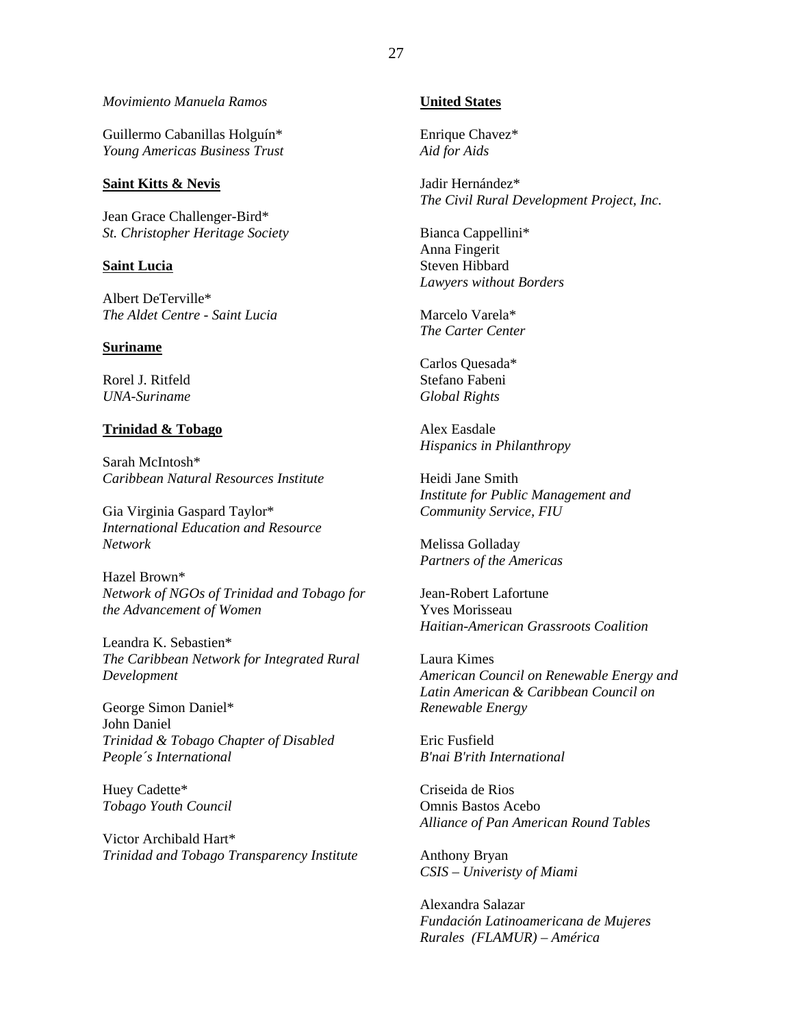#### *Movimiento Manuela Ramos*

Guillermo Cabanillas Holguín\* *Young Americas Business Trust* 

#### **Saint Kitts & Nevis**

Jean Grace Challenger-Bird\* *St. Christopher Heritage Society* 

#### **Saint Lucia**

Albert DeTerville\* *The Aldet Centre - Saint Lucia* 

### **Suriname**

Rorel J. Ritfeld *UNA-Suriname* 

#### **Trinidad & Tobago**

Sarah McIntosh\* *Caribbean Natural Resources Institute* 

Gia Virginia Gaspard Taylor\* *International Education and Resource Network* 

Hazel Brown\* *Network of NGOs of Trinidad and Tobago for the Advancement of Women* 

Leandra K. Sebastien\* *The Caribbean Network for Integrated Rural Development* 

George Simon Daniel\* John Daniel *Trinidad & Tobago Chapter of Disabled People´s International* 

Huey Cadette\* *Tobago Youth Council* 

Victor Archibald Hart\* *Trinidad and Tobago Transparency Institute* 

# **United States**

Enrique Chavez\* *Aid for Aids* 

Jadir Hernández\* *The Civil Rural Development Project, Inc.* 

Bianca Cappellini\* Anna Fingerit Steven Hibbard *Lawyers without Borders* 

Marcelo Varela\* *The Carter Center* 

Carlos Quesada\* Stefano Fabeni *Global Rights* 

Alex Easdale *Hispanics in Philanthropy* 

Heidi Jane Smith *Institute for Public Management and Community Service, FIU* 

Melissa Golladay *Partners of the Americas* 

Jean-Robert Lafortune Yves Morisseau *Haitian-American Grassroots Coalition* 

Laura Kimes *American Council on Renewable Energy and Latin American & Caribbean Council on Renewable Energy* 

Eric Fusfield *B'nai B'rith International* 

Criseida de Rios Omnis Bastos Acebo *Alliance of Pan American Round Tables* 

Anthony Bryan *CSIS – Univeristy of Miami* 

Alexandra Salazar *Fundación Latinoamericana de Mujeres Rurales (FLAMUR) – América*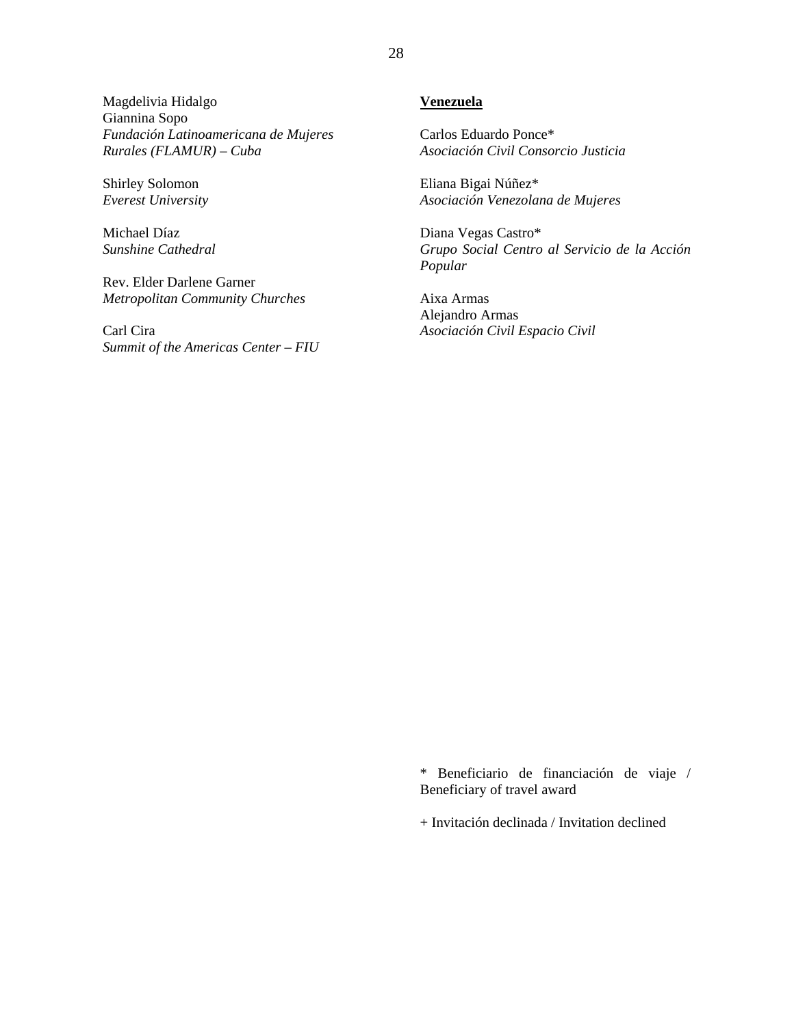Magdelivia Hidalgo Giannina Sopo *Fundación Latinoamericana de Mujeres Rurales (FLAMUR) – Cuba* 

Shirley Solomon *Everest University* 

Michael Díaz *Sunshine Cathedral* 

Rev. Elder Darlene Garner *Metropolitan Community Churches* 

Carl Cira *Summit of the Americas Center – FIU* 

# **Venezuela**

Carlos Eduardo Ponce\* *Asociación Civil Consorcio Justicia* 

Eliana Bigai Núñez\* *Asociación Venezolana de Mujeres* 

Diana Vegas Castro\* *Grupo Social Centro al Servicio de la Acción Popular* 

Aixa Armas Alejandro Armas *Asociación Civil Espacio Civil* 

\* Beneficiario de financiación de viaje / Beneficiary of travel award

+ Invitación declinada / Invitation declined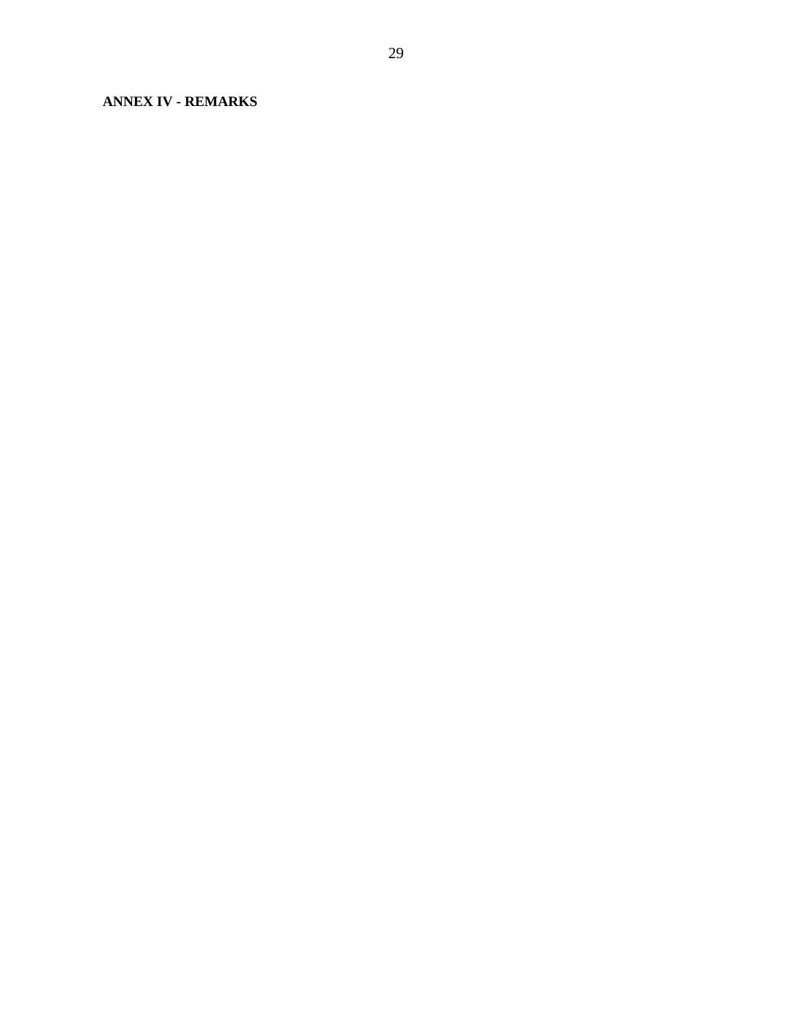<span id="page-27-0"></span>**ANNEX IV - REMARKS**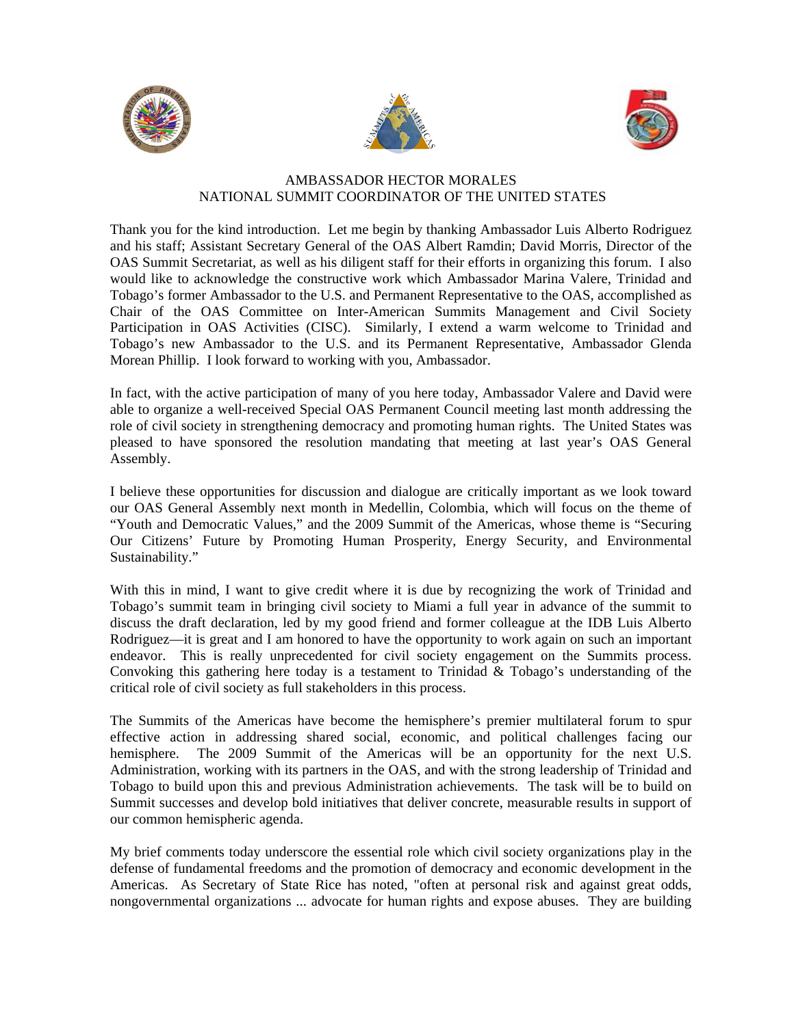





# AMBASSADOR HECTOR MORALES NATIONAL SUMMIT COORDINATOR OF THE UNITED STATES

<span id="page-28-0"></span>Thank you for the kind introduction. Let me begin by thanking Ambassador Luis Alberto Rodriguez and his staff; Assistant Secretary General of the OAS Albert Ramdin; David Morris, Director of the OAS Summit Secretariat, as well as his diligent staff for their efforts in organizing this forum. I also would like to acknowledge the constructive work which Ambassador Marina Valere, Trinidad and Tobago's former Ambassador to the U.S. and Permanent Representative to the OAS, accomplished as Chair of the OAS Committee on Inter-American Summits Management and Civil Society Participation in OAS Activities (CISC). Similarly, I extend a warm welcome to Trinidad and Tobago's new Ambassador to the U.S. and its Permanent Representative, Ambassador Glenda Morean Phillip. I look forward to working with you, Ambassador.

In fact, with the active participation of many of you here today, Ambassador Valere and David were able to organize a well-received Special OAS Permanent Council meeting last month addressing the role of civil society in strengthening democracy and promoting human rights. The United States was pleased to have sponsored the resolution mandating that meeting at last year's OAS General Assembly.

I believe these opportunities for discussion and dialogue are critically important as we look toward our OAS General Assembly next month in Medellin, Colombia, which will focus on the theme of "Youth and Democratic Values," and the 2009 Summit of the Americas, whose theme is "Securing Our Citizens' Future by Promoting Human Prosperity, Energy Security, and Environmental Sustainability."

With this in mind, I want to give credit where it is due by recognizing the work of Trinidad and Tobago's summit team in bringing civil society to Miami a full year in advance of the summit to discuss the draft declaration, led by my good friend and former colleague at the IDB Luis Alberto Rodriguez—it is great and I am honored to have the opportunity to work again on such an important endeavor. This is really unprecedented for civil society engagement on the Summits process. Convoking this gathering here today is a testament to Trinidad  $\&$  Tobago's understanding of the critical role of civil society as full stakeholders in this process.

The Summits of the Americas have become the hemisphere's premier multilateral forum to spur effective action in addressing shared social, economic, and political challenges facing our hemisphere. The 2009 Summit of the Americas will be an opportunity for the next U.S. Administration, working with its partners in the OAS, and with the strong leadership of Trinidad and Tobago to build upon this and previous Administration achievements. The task will be to build on Summit successes and develop bold initiatives that deliver concrete, measurable results in support of our common hemispheric agenda.

My brief comments today underscore the essential role which civil society organizations play in the defense of fundamental freedoms and the promotion of democracy and economic development in the Americas. As Secretary of State Rice has noted, "often at personal risk and against great odds, nongovernmental organizations ... advocate for human rights and expose abuses. They are building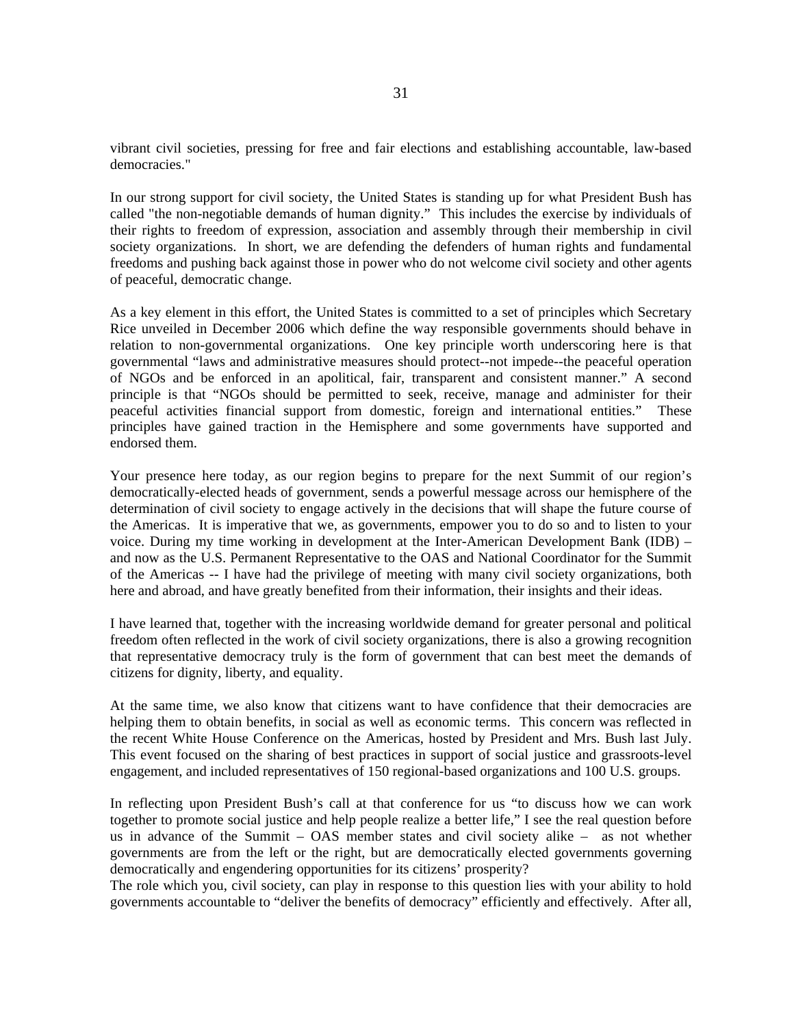vibrant civil societies, pressing for free and fair elections and establishing accountable, law-based democracies."

In our strong support for civil society, the United States is standing up for what President Bush has called "the non-negotiable demands of human dignity." This includes the exercise by individuals of their rights to freedom of expression, association and assembly through their membership in civil society organizations. In short, we are defending the defenders of human rights and fundamental freedoms and pushing back against those in power who do not welcome civil society and other agents of peaceful, democratic change.

As a key element in this effort, the United States is committed to a set of principles which Secretary Rice unveiled in December 2006 which define the way responsible governments should behave in relation to non-governmental organizations. One key principle worth underscoring here is that governmental "laws and administrative measures should protect--not impede--the peaceful operation of NGOs and be enforced in an apolitical, fair, transparent and consistent manner." A second principle is that "NGOs should be permitted to seek, receive, manage and administer for their peaceful activities financial support from domestic, foreign and international entities." These principles have gained traction in the Hemisphere and some governments have supported and endorsed them.

Your presence here today, as our region begins to prepare for the next Summit of our region's democratically-elected heads of government, sends a powerful message across our hemisphere of the determination of civil society to engage actively in the decisions that will shape the future course of the Americas. It is imperative that we, as governments, empower you to do so and to listen to your voice. During my time working in development at the Inter-American Development Bank (IDB) – and now as the U.S. Permanent Representative to the OAS and National Coordinator for the Summit of the Americas -- I have had the privilege of meeting with many civil society organizations, both here and abroad, and have greatly benefited from their information, their insights and their ideas.

I have learned that, together with the increasing worldwide demand for greater personal and political freedom often reflected in the work of civil society organizations, there is also a growing recognition that representative democracy truly is the form of government that can best meet the demands of citizens for dignity, liberty, and equality.

At the same time, we also know that citizens want to have confidence that their democracies are helping them to obtain benefits, in social as well as economic terms. This concern was reflected in the recent White House Conference on the Americas, hosted by President and Mrs. Bush last July. This event focused on the sharing of best practices in support of social justice and grassroots-level engagement, and included representatives of 150 regional-based organizations and 100 U.S. groups.

In reflecting upon President Bush's call at that conference for us "to discuss how we can work together to promote social justice and help people realize a better life," I see the real question before us in advance of the Summit – OAS member states and civil society alike – as not whether governments are from the left or the right, but are democratically elected governments governing democratically and engendering opportunities for its citizens' prosperity?

The role which you, civil society, can play in response to this question lies with your ability to hold governments accountable to "deliver the benefits of democracy" efficiently and effectively. After all,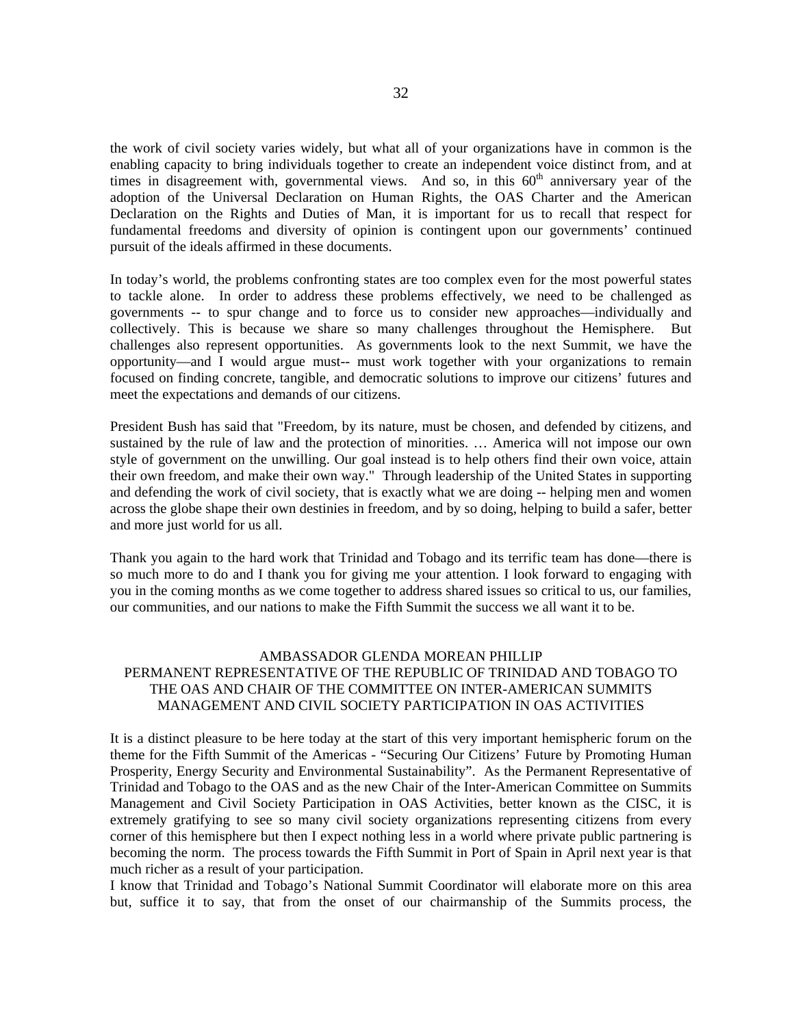the work of civil society varies widely, but what all of your organizations have in common is the enabling capacity to bring individuals together to create an independent voice distinct from, and at times in disagreement with, governmental views. And so, in this  $60<sup>th</sup>$  anniversary year of the adoption of the Universal Declaration on Human Rights, the OAS Charter and the American Declaration on the Rights and Duties of Man, it is important for us to recall that respect for fundamental freedoms and diversity of opinion is contingent upon our governments' continued pursuit of the ideals affirmed in these documents.

In today's world, the problems confronting states are too complex even for the most powerful states to tackle alone. In order to address these problems effectively, we need to be challenged as governments -- to spur change and to force us to consider new approaches—individually and collectively. This is because we share so many challenges throughout the Hemisphere. But challenges also represent opportunities. As governments look to the next Summit, we have the opportunity—and I would argue must-- must work together with your organizations to remain focused on finding concrete, tangible, and democratic solutions to improve our citizens' futures and meet the expectations and demands of our citizens.

President Bush has said that "Freedom, by its nature, must be chosen, and defended by citizens, and sustained by the rule of law and the protection of minorities. … America will not impose our own style of government on the unwilling. Our goal instead is to help others find their own voice, attain their own freedom, and make their own way." Through leadership of the United States in supporting and defending the work of civil society, that is exactly what we are doing -- helping men and women across the globe shape their own destinies in freedom, and by so doing, helping to build a safer, better and more just world for us all.

Thank you again to the hard work that Trinidad and Tobago and its terrific team has done—there is so much more to do and I thank you for giving me your attention. I look forward to engaging with you in the coming months as we come together to address shared issues so critical to us, our families, our communities, and our nations to make the Fifth Summit the success we all want it to be.

# <span id="page-30-0"></span>AMBASSADOR GLENDA MOREAN PHILLIP PERMANENT REPRESENTATIVE OF THE REPUBLIC OF TRINIDAD AND TOBAGO TO THE OAS AND CHAIR OF THE COMMITTEE ON INTER-AMERICAN SUMMITS MANAGEMENT AND CIVIL SOCIETY PARTICIPATION IN OAS ACTIVITIES

It is a distinct pleasure to be here today at the start of this very important hemispheric forum on the theme for the Fifth Summit of the Americas - "Securing Our Citizens' Future by Promoting Human Prosperity, Energy Security and Environmental Sustainability". As the Permanent Representative of Trinidad and Tobago to the OAS and as the new Chair of the Inter-American Committee on Summits Management and Civil Society Participation in OAS Activities, better known as the CISC, it is extremely gratifying to see so many civil society organizations representing citizens from every corner of this hemisphere but then I expect nothing less in a world where private public partnering is becoming the norm. The process towards the Fifth Summit in Port of Spain in April next year is that much richer as a result of your participation.

I know that Trinidad and Tobago's National Summit Coordinator will elaborate more on this area but, suffice it to say, that from the onset of our chairmanship of the Summits process, the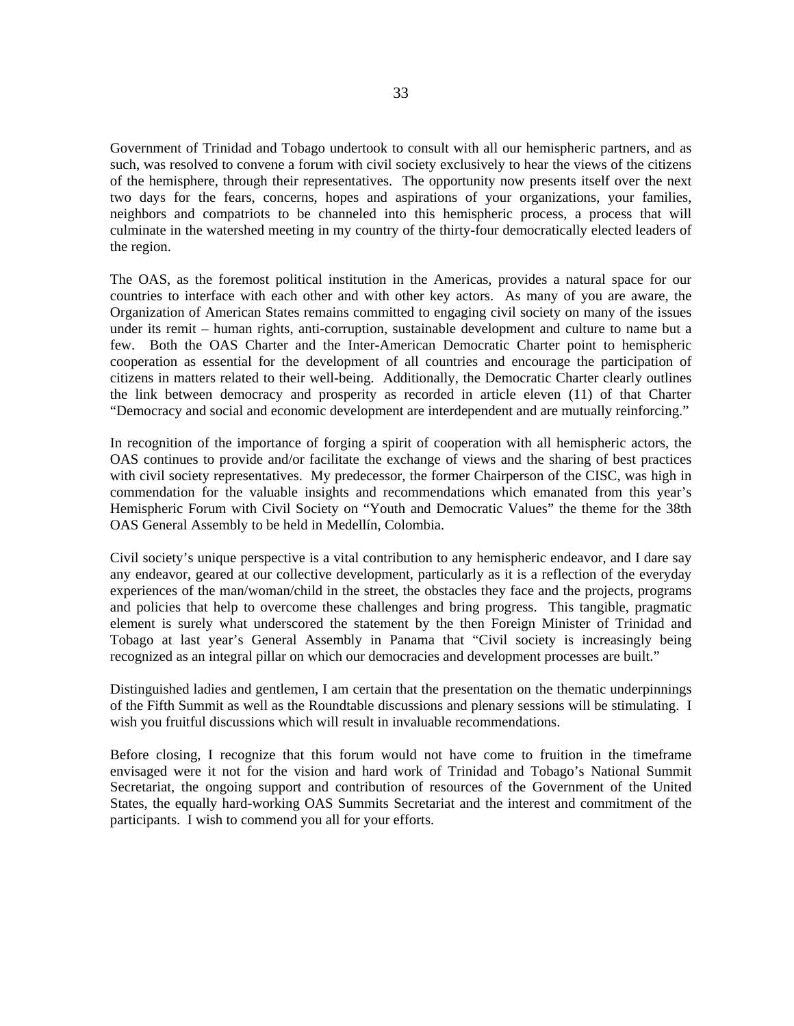Government of Trinidad and Tobago undertook to consult with all our hemispheric partners, and as such, was resolved to convene a forum with civil society exclusively to hear the views of the citizens of the hemisphere, through their representatives. The opportunity now presents itself over the next two days for the fears, concerns, hopes and aspirations of your organizations, your families, neighbors and compatriots to be channeled into this hemispheric process, a process that will culminate in the watershed meeting in my country of the thirty-four democratically elected leaders of the region.

The OAS, as the foremost political institution in the Americas, provides a natural space for our countries to interface with each other and with other key actors. As many of you are aware, the Organization of American States remains committed to engaging civil society on many of the issues under its remit – human rights, anti-corruption, sustainable development and culture to name but a few. Both the OAS Charter and the Inter-American Democratic Charter point to hemispheric cooperation as essential for the development of all countries and encourage the participation of citizens in matters related to their well-being. Additionally, the Democratic Charter clearly outlines the link between democracy and prosperity as recorded in article eleven (11) of that Charter "Democracy and social and economic development are interdependent and are mutually reinforcing."

In recognition of the importance of forging a spirit of cooperation with all hemispheric actors, the OAS continues to provide and/or facilitate the exchange of views and the sharing of best practices with civil society representatives. My predecessor, the former Chairperson of the CISC, was high in commendation for the valuable insights and recommendations which emanated from this year's Hemispheric Forum with Civil Society on "Youth and Democratic Values" the theme for the 38th OAS General Assembly to be held in Medellín, Colombia.

Civil society's unique perspective is a vital contribution to any hemispheric endeavor, and I dare say any endeavor, geared at our collective development, particularly as it is a reflection of the everyday experiences of the man/woman/child in the street, the obstacles they face and the projects, programs and policies that help to overcome these challenges and bring progress. This tangible, pragmatic element is surely what underscored the statement by the then Foreign Minister of Trinidad and Tobago at last year's General Assembly in Panama that "Civil society is increasingly being recognized as an integral pillar on which our democracies and development processes are built."

Distinguished ladies and gentlemen, I am certain that the presentation on the thematic underpinnings of the Fifth Summit as well as the Roundtable discussions and plenary sessions will be stimulating. I wish you fruitful discussions which will result in invaluable recommendations.

Before closing, I recognize that this forum would not have come to fruition in the timeframe envisaged were it not for the vision and hard work of Trinidad and Tobago's National Summit Secretariat, the ongoing support and contribution of resources of the Government of the United States, the equally hard-working OAS Summits Secretariat and the interest and commitment of the participants. I wish to commend you all for your efforts.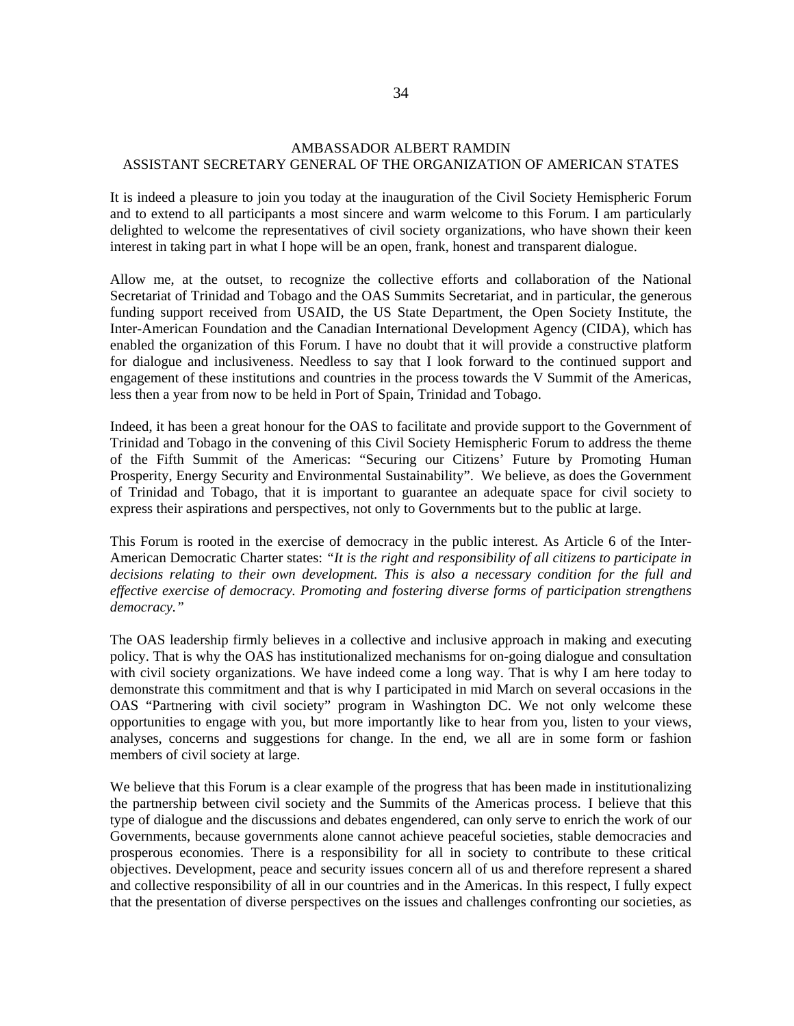# AMBASSADOR ALBERT RAMDIN ASSISTANT SECRETARY GENERAL OF THE ORGANIZATION OF AMERICAN STATES

It is indeed a pleasure to join you today at the inauguration of the Civil Society Hemispheric Forum and to extend to all participants a most sincere and warm welcome to this Forum. I am particularly delighted to welcome the representatives of civil society organizations, who have shown their keen interest in taking part in what I hope will be an open, frank, honest and transparent dialogue.

Allow me, at the outset, to recognize the collective efforts and collaboration of the National Secretariat of Trinidad and Tobago and the OAS Summits Secretariat, and in particular, the generous funding support received from USAID, the US State Department, the Open Society Institute, the Inter-American Foundation and the Canadian International Development Agency (CIDA), which has enabled the organization of this Forum. I have no doubt that it will provide a constructive platform for dialogue and inclusiveness. Needless to say that I look forward to the continued support and engagement of these institutions and countries in the process towards the V Summit of the Americas, less then a year from now to be held in Port of Spain, Trinidad and Tobago.

Indeed, it has been a great honour for the OAS to facilitate and provide support to the Government of Trinidad and Tobago in the convening of this Civil Society Hemispheric Forum to address the theme of the Fifth Summit of the Americas: "Securing our Citizens' Future by Promoting Human Prosperity, Energy Security and Environmental Sustainability". We believe, as does the Government of Trinidad and Tobago, that it is important to guarantee an adequate space for civil society to express their aspirations and perspectives, not only to Governments but to the public at large.

This Forum is rooted in the exercise of democracy in the public interest. As Article 6 of the Inter-American Democratic Charter states: *"It is the right and responsibility of all citizens to participate in decisions relating to their own development. This is also a necessary condition for the full and effective exercise of democracy. Promoting and fostering diverse forms of participation strengthens democracy."*

The OAS leadership firmly believes in a collective and inclusive approach in making and executing policy. That is why the OAS has institutionalized mechanisms for on-going dialogue and consultation with civil society organizations. We have indeed come a long way. That is why I am here today to demonstrate this commitment and that is why I participated in mid March on several occasions in the OAS "Partnering with civil society" program in Washington DC. We not only welcome these opportunities to engage with you, but more importantly like to hear from you, listen to your views, analyses, concerns and suggestions for change. In the end, we all are in some form or fashion members of civil society at large.

<span id="page-32-0"></span>We believe that this Forum is a clear example of the progress that has been made in institutionalizing the partnership between civil society and the Summits of the Americas process. I believe that this type of dialogue and the discussions and debates engendered, can only serve to enrich the work of our Governments, because governments alone cannot achieve peaceful societies, stable democracies and prosperous economies. There is a responsibility for all in society to contribute to these critical objectives. Development, peace and security issues concern all of us and therefore represent a shared and collective responsibility of all in our countries and in the Americas. In this respect, I fully expect that the presentation of diverse perspectives on the issues and challenges confronting our societies, as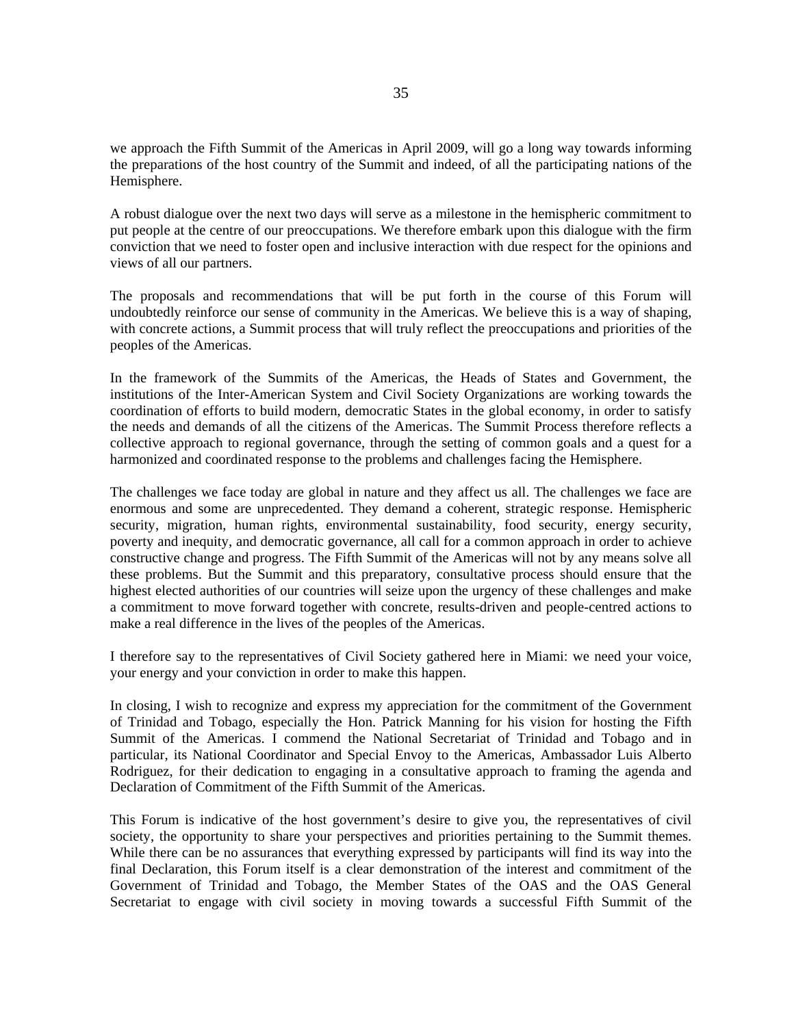we approach the Fifth Summit of the Americas in April 2009, will go a long way towards informing the preparations of the host country of the Summit and indeed, of all the participating nations of the Hemisphere.

A robust dialogue over the next two days will serve as a milestone in the hemispheric commitment to put people at the centre of our preoccupations. We therefore embark upon this dialogue with the firm conviction that we need to foster open and inclusive interaction with due respect for the opinions and views of all our partners.

The proposals and recommendations that will be put forth in the course of this Forum will undoubtedly reinforce our sense of community in the Americas. We believe this is a way of shaping, with concrete actions, a Summit process that will truly reflect the preoccupations and priorities of the peoples of the Americas.

In the framework of the Summits of the Americas, the Heads of States and Government, the institutions of the Inter-American System and Civil Society Organizations are working towards the coordination of efforts to build modern, democratic States in the global economy, in order to satisfy the needs and demands of all the citizens of the Americas. The Summit Process therefore reflects a collective approach to regional governance, through the setting of common goals and a quest for a harmonized and coordinated response to the problems and challenges facing the Hemisphere.

The challenges we face today are global in nature and they affect us all. The challenges we face are enormous and some are unprecedented. They demand a coherent, strategic response. Hemispheric security, migration, human rights, environmental sustainability, food security, energy security, poverty and inequity, and democratic governance, all call for a common approach in order to achieve constructive change and progress. The Fifth Summit of the Americas will not by any means solve all these problems. But the Summit and this preparatory, consultative process should ensure that the highest elected authorities of our countries will seize upon the urgency of these challenges and make a commitment to move forward together with concrete, results-driven and people-centred actions to make a real difference in the lives of the peoples of the Americas.

I therefore say to the representatives of Civil Society gathered here in Miami: we need your voice, your energy and your conviction in order to make this happen.

In closing, I wish to recognize and express my appreciation for the commitment of the Government of Trinidad and Tobago, especially the Hon. Patrick Manning for his vision for hosting the Fifth Summit of the Americas. I commend the National Secretariat of Trinidad and Tobago and in particular, its National Coordinator and Special Envoy to the Americas, Ambassador Luis Alberto Rodriguez, for their dedication to engaging in a consultative approach to framing the agenda and Declaration of Commitment of the Fifth Summit of the Americas.

This Forum is indicative of the host government's desire to give you, the representatives of civil society, the opportunity to share your perspectives and priorities pertaining to the Summit themes. While there can be no assurances that everything expressed by participants will find its way into the final Declaration, this Forum itself is a clear demonstration of the interest and commitment of the Government of Trinidad and Tobago, the Member States of the OAS and the OAS General Secretariat to engage with civil society in moving towards a successful Fifth Summit of the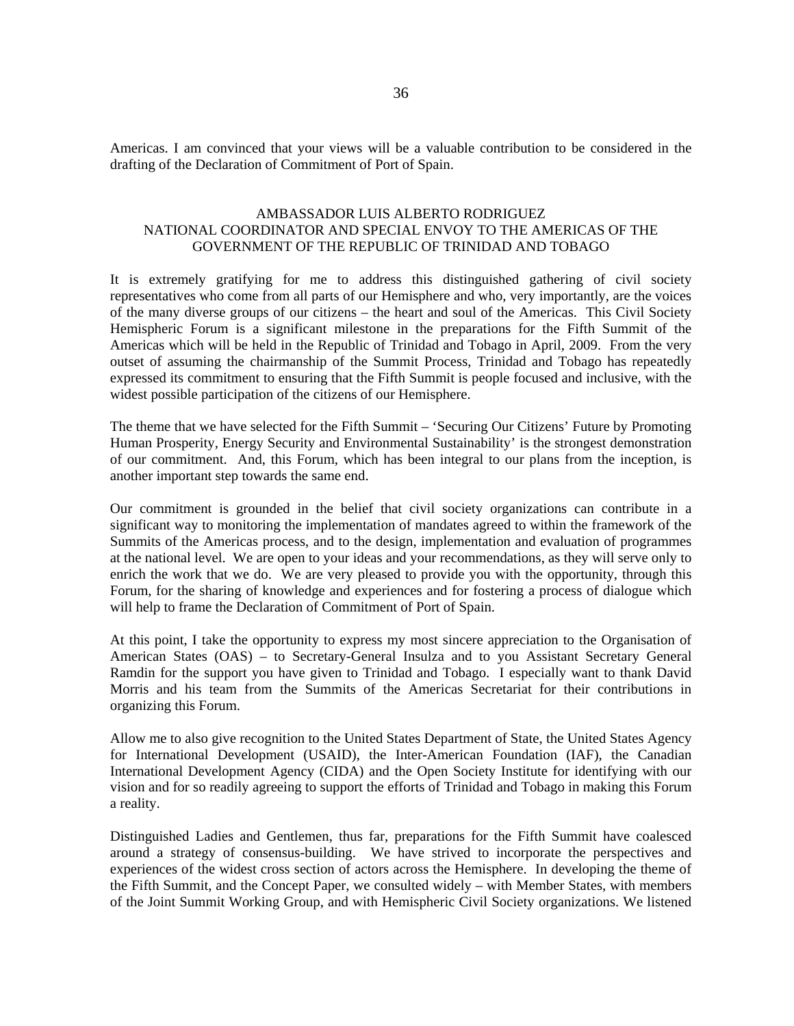<span id="page-34-0"></span>Americas. I am convinced that your views will be a valuable contribution to be considered in the drafting of the Declaration of Commitment of Port of Spain.

# AMBASSADOR LUIS ALBERTO RODRIGUEZ NATIONAL COORDINATOR AND SPECIAL ENVOY TO THE AMERICAS OF THE GOVERNMENT OF THE REPUBLIC OF TRINIDAD AND TOBAGO

It is extremely gratifying for me to address this distinguished gathering of civil society representatives who come from all parts of our Hemisphere and who, very importantly, are the voices of the many diverse groups of our citizens – the heart and soul of the Americas. This Civil Society Hemispheric Forum is a significant milestone in the preparations for the Fifth Summit of the Americas which will be held in the Republic of Trinidad and Tobago in April, 2009. From the very outset of assuming the chairmanship of the Summit Process, Trinidad and Tobago has repeatedly expressed its commitment to ensuring that the Fifth Summit is people focused and inclusive, with the widest possible participation of the citizens of our Hemisphere.

The theme that we have selected for the Fifth Summit – 'Securing Our Citizens' Future by Promoting Human Prosperity, Energy Security and Environmental Sustainability' is the strongest demonstration of our commitment. And, this Forum, which has been integral to our plans from the inception, is another important step towards the same end.

Our commitment is grounded in the belief that civil society organizations can contribute in a significant way to monitoring the implementation of mandates agreed to within the framework of the Summits of the Americas process, and to the design, implementation and evaluation of programmes at the national level. We are open to your ideas and your recommendations, as they will serve only to enrich the work that we do. We are very pleased to provide you with the opportunity, through this Forum, for the sharing of knowledge and experiences and for fostering a process of dialogue which will help to frame the Declaration of Commitment of Port of Spain.

At this point, I take the opportunity to express my most sincere appreciation to the Organisation of American States (OAS) – to Secretary-General Insulza and to you Assistant Secretary General Ramdin for the support you have given to Trinidad and Tobago. I especially want to thank David Morris and his team from the Summits of the Americas Secretariat for their contributions in organizing this Forum.

Allow me to also give recognition to the United States Department of State, the United States Agency for International Development (USAID), the Inter-American Foundation (IAF), the Canadian International Development Agency (CIDA) and the Open Society Institute for identifying with our vision and for so readily agreeing to support the efforts of Trinidad and Tobago in making this Forum a reality.

Distinguished Ladies and Gentlemen, thus far, preparations for the Fifth Summit have coalesced around a strategy of consensus-building. We have strived to incorporate the perspectives and experiences of the widest cross section of actors across the Hemisphere. In developing the theme of the Fifth Summit, and the Concept Paper, we consulted widely – with Member States, with members of the Joint Summit Working Group, and with Hemispheric Civil Society organizations. We listened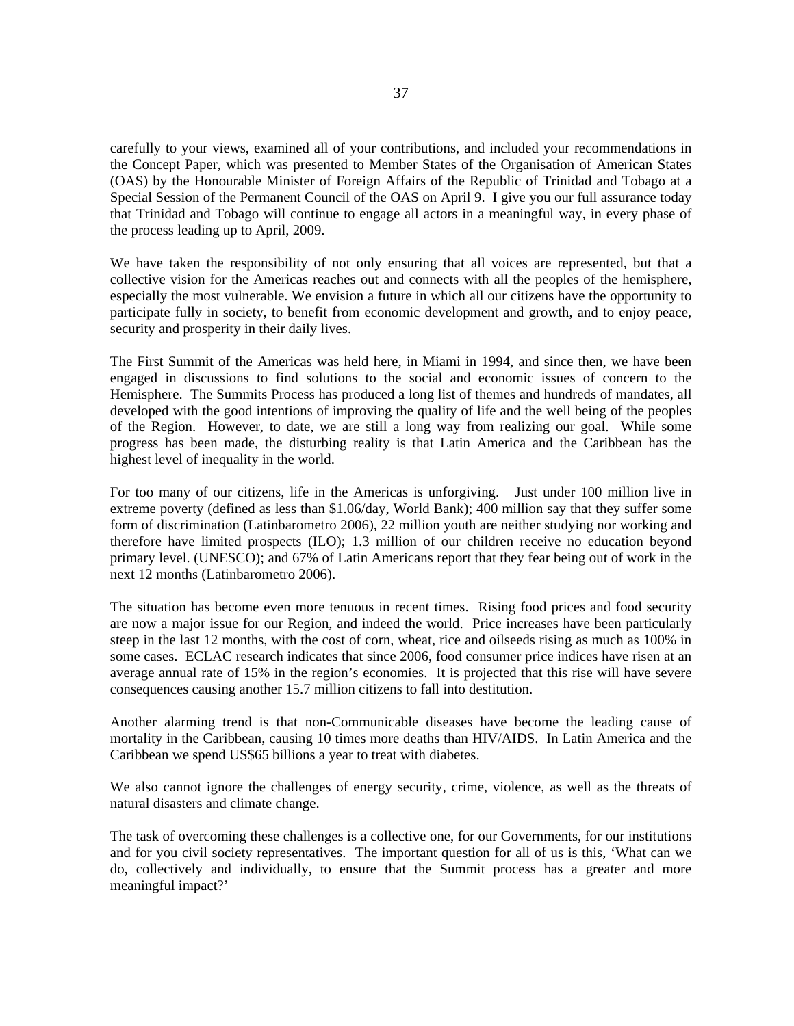carefully to your views, examined all of your contributions, and included your recommendations in the Concept Paper, which was presented to Member States of the Organisation of American States (OAS) by the Honourable Minister of Foreign Affairs of the Republic of Trinidad and Tobago at a Special Session of the Permanent Council of the OAS on April 9. I give you our full assurance today that Trinidad and Tobago will continue to engage all actors in a meaningful way, in every phase of the process leading up to April, 2009.

We have taken the responsibility of not only ensuring that all voices are represented, but that a collective vision for the Americas reaches out and connects with all the peoples of the hemisphere, especially the most vulnerable. We envision a future in which all our citizens have the opportunity to participate fully in society, to benefit from economic development and growth, and to enjoy peace, security and prosperity in their daily lives.

The First Summit of the Americas was held here, in Miami in 1994, and since then, we have been engaged in discussions to find solutions to the social and economic issues of concern to the Hemisphere. The Summits Process has produced a long list of themes and hundreds of mandates, all developed with the good intentions of improving the quality of life and the well being of the peoples of the Region. However, to date, we are still a long way from realizing our goal. While some progress has been made, the disturbing reality is that Latin America and the Caribbean has the highest level of inequality in the world.

For too many of our citizens, life in the Americas is unforgiving. Just under 100 million live in extreme poverty (defined as less than \$1.06/day, World Bank); 400 million say that they suffer some form of discrimination (Latinbarometro 2006), 22 million youth are neither studying nor working and therefore have limited prospects (ILO); 1.3 million of our children receive no education beyond primary level. (UNESCO); and 67% of Latin Americans report that they fear being out of work in the next 12 months (Latinbarometro 2006).

The situation has become even more tenuous in recent times. Rising food prices and food security are now a major issue for our Region, and indeed the world. Price increases have been particularly steep in the last 12 months, with the cost of corn, wheat, rice and oilseeds rising as much as 100% in some cases. ECLAC research indicates that since 2006, food consumer price indices have risen at an average annual rate of 15% in the region's economies. It is projected that this rise will have severe consequences causing another 15.7 million citizens to fall into destitution.

Another alarming trend is that non-Communicable diseases have become the leading cause of mortality in the Caribbean, causing 10 times more deaths than HIV/AIDS. In Latin America and the Caribbean we spend US\$65 billions a year to treat with diabetes.

We also cannot ignore the challenges of energy security, crime, violence, as well as the threats of natural disasters and climate change.

The task of overcoming these challenges is a collective one, for our Governments, for our institutions and for you civil society representatives. The important question for all of us is this, 'What can we do, collectively and individually, to ensure that the Summit process has a greater and more meaningful impact?'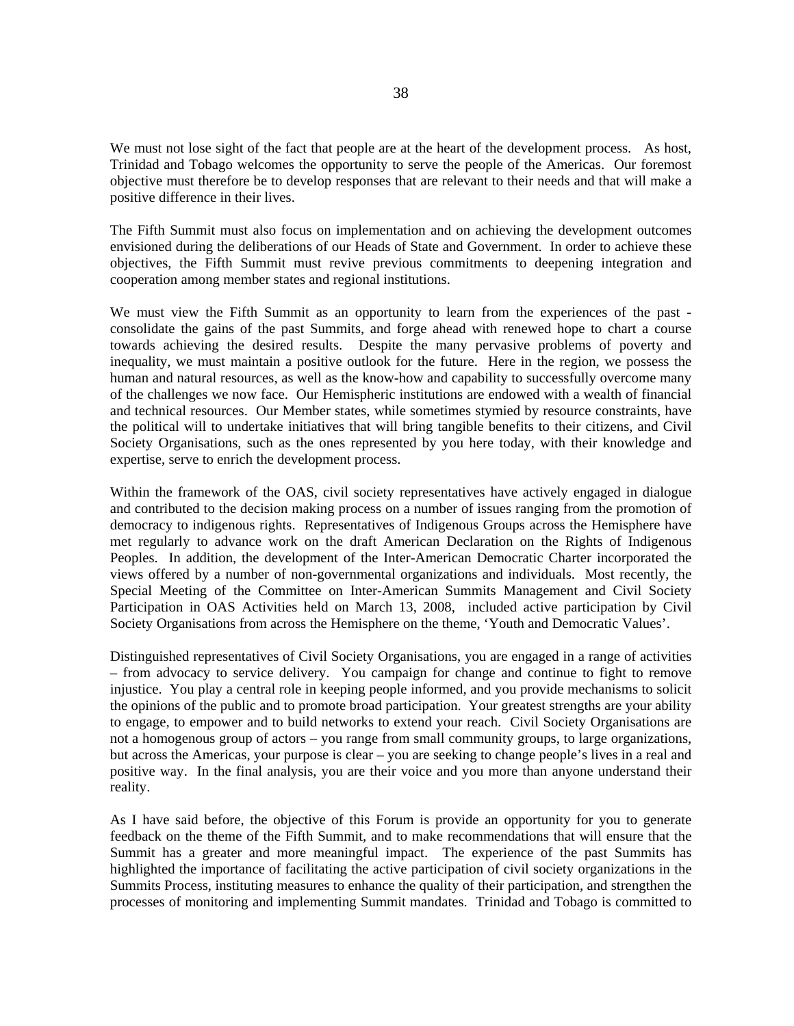We must not lose sight of the fact that people are at the heart of the development process. As host, Trinidad and Tobago welcomes the opportunity to serve the people of the Americas. Our foremost objective must therefore be to develop responses that are relevant to their needs and that will make a positive difference in their lives.

The Fifth Summit must also focus on implementation and on achieving the development outcomes envisioned during the deliberations of our Heads of State and Government. In order to achieve these objectives, the Fifth Summit must revive previous commitments to deepening integration and cooperation among member states and regional institutions.

We must view the Fifth Summit as an opportunity to learn from the experiences of the past consolidate the gains of the past Summits, and forge ahead with renewed hope to chart a course towards achieving the desired results. Despite the many pervasive problems of poverty and inequality, we must maintain a positive outlook for the future. Here in the region, we possess the human and natural resources, as well as the know-how and capability to successfully overcome many of the challenges we now face. Our Hemispheric institutions are endowed with a wealth of financial and technical resources. Our Member states, while sometimes stymied by resource constraints, have the political will to undertake initiatives that will bring tangible benefits to their citizens, and Civil Society Organisations, such as the ones represented by you here today, with their knowledge and expertise, serve to enrich the development process.

Within the framework of the OAS, civil society representatives have actively engaged in dialogue and contributed to the decision making process on a number of issues ranging from the promotion of democracy to indigenous rights. Representatives of Indigenous Groups across the Hemisphere have met regularly to advance work on the draft American Declaration on the Rights of Indigenous Peoples. In addition, the development of the Inter-American Democratic Charter incorporated the views offered by a number of non-governmental organizations and individuals. Most recently, the Special Meeting of the Committee on Inter-American Summits Management and Civil Society Participation in OAS Activities held on March 13, 2008, included active participation by Civil Society Organisations from across the Hemisphere on the theme, 'Youth and Democratic Values'.

Distinguished representatives of Civil Society Organisations, you are engaged in a range of activities – from advocacy to service delivery. You campaign for change and continue to fight to remove injustice. You play a central role in keeping people informed, and you provide mechanisms to solicit the opinions of the public and to promote broad participation. Your greatest strengths are your ability to engage, to empower and to build networks to extend your reach. Civil Society Organisations are not a homogenous group of actors – you range from small community groups, to large organizations, but across the Americas, your purpose is clear – you are seeking to change people's lives in a real and positive way. In the final analysis, you are their voice and you more than anyone understand their reality.

As I have said before, the objective of this Forum is provide an opportunity for you to generate feedback on the theme of the Fifth Summit, and to make recommendations that will ensure that the Summit has a greater and more meaningful impact. The experience of the past Summits has highlighted the importance of facilitating the active participation of civil society organizations in the Summits Process, instituting measures to enhance the quality of their participation, and strengthen the processes of monitoring and implementing Summit mandates. Trinidad and Tobago is committed to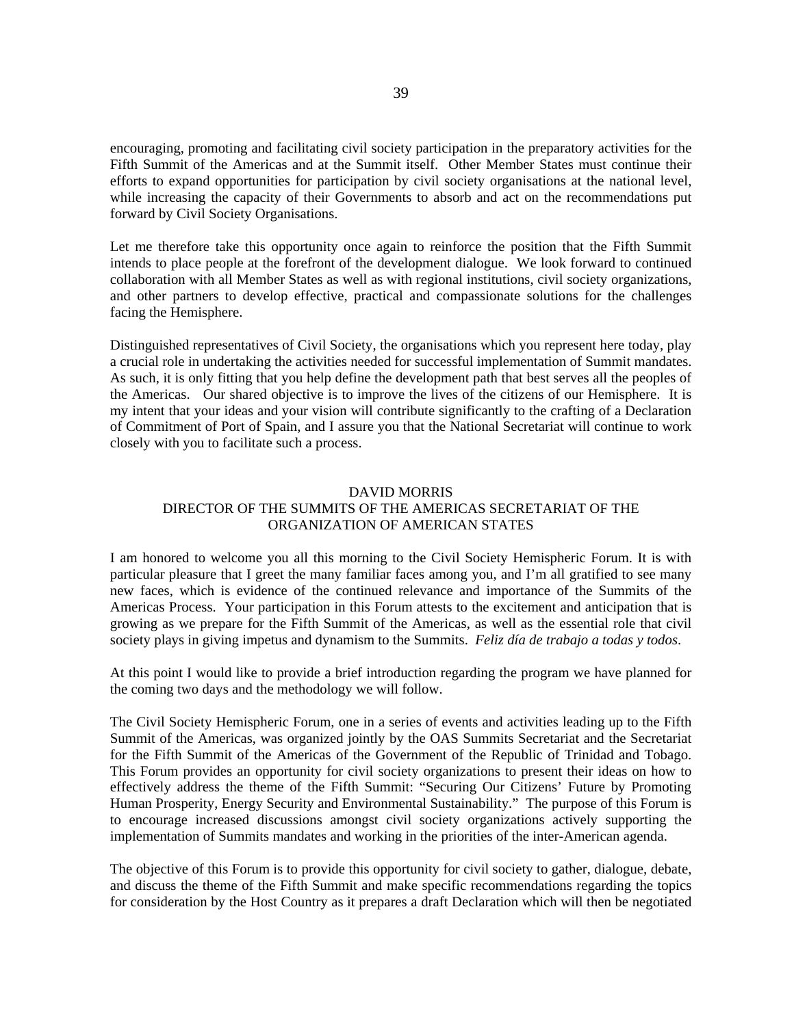encouraging, promoting and facilitating civil society participation in the preparatory activities for the Fifth Summit of the Americas and at the Summit itself. Other Member States must continue their efforts to expand opportunities for participation by civil society organisations at the national level, while increasing the capacity of their Governments to absorb and act on the recommendations put forward by Civil Society Organisations.

Let me therefore take this opportunity once again to reinforce the position that the Fifth Summit intends to place people at the forefront of the development dialogue. We look forward to continued collaboration with all Member States as well as with regional institutions, civil society organizations, and other partners to develop effective, practical and compassionate solutions for the challenges facing the Hemisphere.

Distinguished representatives of Civil Society, the organisations which you represent here today, play a crucial role in undertaking the activities needed for successful implementation of Summit mandates. As such, it is only fitting that you help define the development path that best serves all the peoples of the Americas. Our shared objective is to improve the lives of the citizens of our Hemisphere. It is my intent that your ideas and your vision will contribute significantly to the crafting of a Declaration of Commitment of Port of Spain, and I assure you that the National Secretariat will continue to work closely with you to facilitate such a process.

#### DAVID MORRIS DIRECTOR OF THE SUMMITS OF THE AMERICAS SECRETARIAT OF THE

# ORGANIZATION OF AMERICAN STATES

<span id="page-37-0"></span>I am honored to welcome you all this morning to the Civil Society Hemispheric Forum. It is with particular pleasure that I greet the many familiar faces among you, and I'm all gratified to see many new faces, which is evidence of the continued relevance and importance of the Summits of the Americas Process. Your participation in this Forum attests to the excitement and anticipation that is growing as we prepare for the Fifth Summit of the Americas, as well as the essential role that civil society plays in giving impetus and dynamism to the Summits. *Feliz día de trabajo a todas y todos*.

At this point I would like to provide a brief introduction regarding the program we have planned for the coming two days and the methodology we will follow.

The Civil Society Hemispheric Forum, one in a series of events and activities leading up to the Fifth Summit of the Americas, was organized jointly by the OAS Summits Secretariat and the Secretariat for the Fifth Summit of the Americas of the Government of the Republic of Trinidad and Tobago. This Forum provides an opportunity for civil society organizations to present their ideas on how to effectively address the theme of the Fifth Summit: "Securing Our Citizens' Future by Promoting Human Prosperity, Energy Security and Environmental Sustainability." The purpose of this Forum is to encourage increased discussions amongst civil society organizations actively supporting the implementation of Summits mandates and working in the priorities of the inter-American agenda.

The objective of this Forum is to provide this opportunity for civil society to gather, dialogue, debate, and discuss the theme of the Fifth Summit and make specific recommendations regarding the topics for consideration by the Host Country as it prepares a draft Declaration which will then be negotiated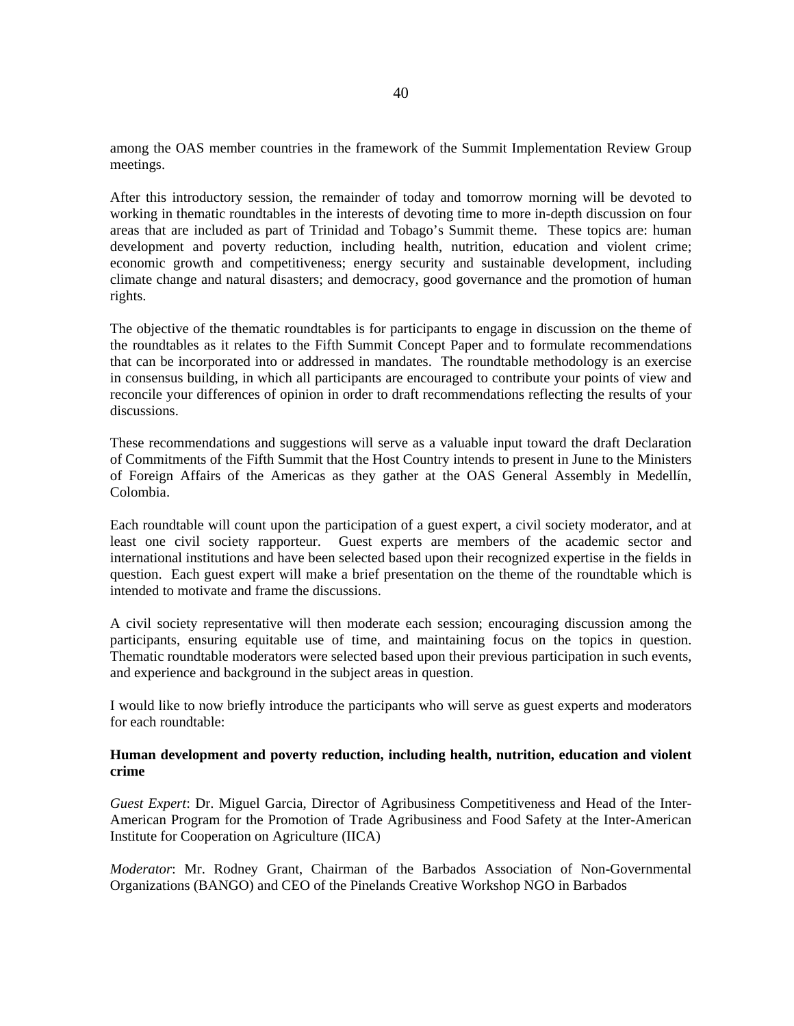among the OAS member countries in the framework of the Summit Implementation Review Group meetings.

After this introductory session, the remainder of today and tomorrow morning will be devoted to working in thematic roundtables in the interests of devoting time to more in-depth discussion on four areas that are included as part of Trinidad and Tobago's Summit theme. These topics are: human development and poverty reduction, including health, nutrition, education and violent crime; economic growth and competitiveness; energy security and sustainable development, including climate change and natural disasters; and democracy, good governance and the promotion of human rights.

The objective of the thematic roundtables is for participants to engage in discussion on the theme of the roundtables as it relates to the Fifth Summit Concept Paper and to formulate recommendations that can be incorporated into or addressed in mandates. The roundtable methodology is an exercise in consensus building, in which all participants are encouraged to contribute your points of view and reconcile your differences of opinion in order to draft recommendations reflecting the results of your discussions.

These recommendations and suggestions will serve as a valuable input toward the draft Declaration of Commitments of the Fifth Summit that the Host Country intends to present in June to the Ministers of Foreign Affairs of the Americas as they gather at the OAS General Assembly in Medellín, Colombia.

Each roundtable will count upon the participation of a guest expert, a civil society moderator, and at least one civil society rapporteur. Guest experts are members of the academic sector and international institutions and have been selected based upon their recognized expertise in the fields in question. Each guest expert will make a brief presentation on the theme of the roundtable which is intended to motivate and frame the discussions.

A civil society representative will then moderate each session; encouraging discussion among the participants, ensuring equitable use of time, and maintaining focus on the topics in question. Thematic roundtable moderators were selected based upon their previous participation in such events, and experience and background in the subject areas in question.

I would like to now briefly introduce the participants who will serve as guest experts and moderators for each roundtable:

### **Human development and poverty reduction, including health, nutrition, education and violent crime**

*Guest Expert*: Dr. Miguel Garcia, Director of Agribusiness Competitiveness and Head of the Inter-American Program for the Promotion of Trade Agribusiness and Food Safety at the Inter-American Institute for Cooperation on Agriculture (IICA)

*Moderator*: Mr. Rodney Grant, Chairman of the Barbados Association of Non-Governmental Organizations (BANGO) and CEO of the Pinelands Creative Workshop NGO in Barbados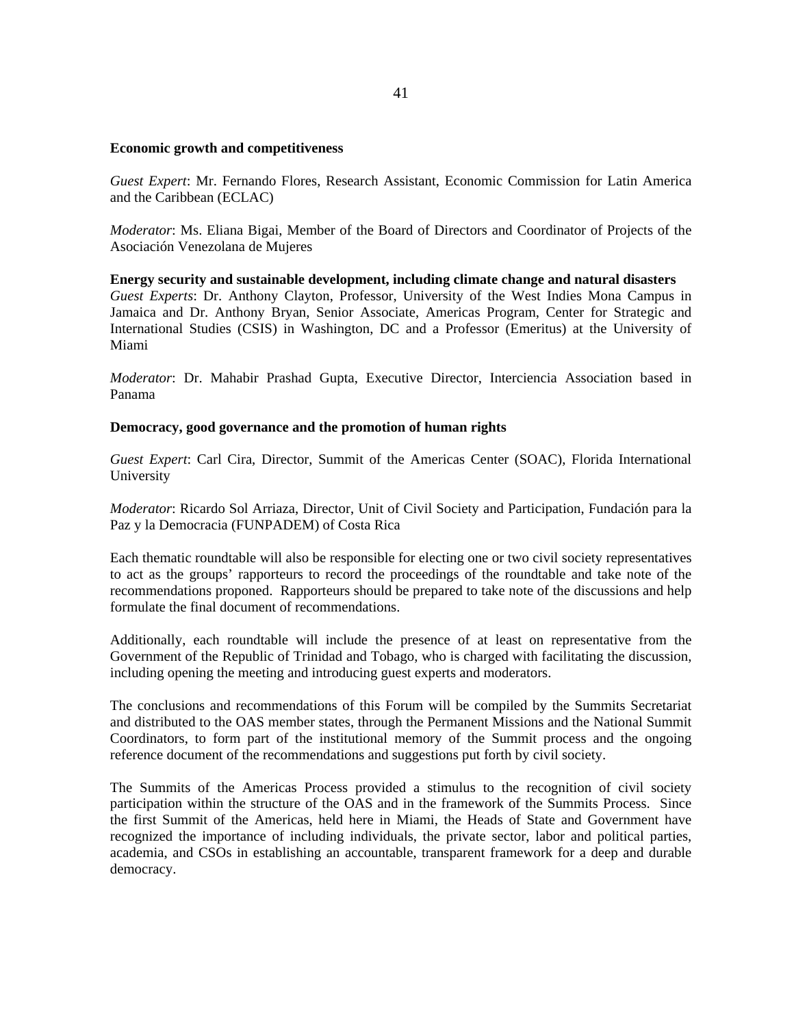### **Economic growth and competitiveness**

*Guest Expert*: Mr. Fernando Flores, Research Assistant, Economic Commission for Latin America and the Caribbean (ECLAC)

*Moderator*: Ms. Eliana Bigai, Member of the Board of Directors and Coordinator of Projects of the Asociación Venezolana de Mujeres

**Energy security and sustainable development, including climate change and natural disasters**  *Guest Experts*: Dr. Anthony Clayton, Professor, University of the West Indies Mona Campus in Jamaica and Dr. Anthony Bryan, Senior Associate, Americas Program, Center for Strategic and International Studies (CSIS) in Washington, DC and a Professor (Emeritus) at the University of Miami

*Moderator*: Dr. Mahabir Prashad Gupta, Executive Director, Interciencia Association based in Panama

### **Democracy, good governance and the promotion of human rights**

*Guest Expert*: Carl Cira, Director, Summit of the Americas Center (SOAC), Florida International University

*Moderator*: Ricardo Sol Arriaza, Director, Unit of Civil Society and Participation, Fundación para la Paz y la Democracia (FUNPADEM) of Costa Rica

Each thematic roundtable will also be responsible for electing one or two civil society representatives to act as the groups' rapporteurs to record the proceedings of the roundtable and take note of the recommendations proponed. Rapporteurs should be prepared to take note of the discussions and help formulate the final document of recommendations.

Additionally, each roundtable will include the presence of at least on representative from the Government of the Republic of Trinidad and Tobago, who is charged with facilitating the discussion, including opening the meeting and introducing guest experts and moderators.

The conclusions and recommendations of this Forum will be compiled by the Summits Secretariat and distributed to the OAS member states, through the Permanent Missions and the National Summit Coordinators, to form part of the institutional memory of the Summit process and the ongoing reference document of the recommendations and suggestions put forth by civil society.

The Summits of the Americas Process provided a stimulus to the recognition of civil society participation within the structure of the OAS and in the framework of the Summits Process. Since the first Summit of the Americas, held here in Miami, the Heads of State and Government have recognized the importance of including individuals, the private sector, labor and political parties, academia, and CSOs in establishing an accountable, transparent framework for a deep and durable democracy.